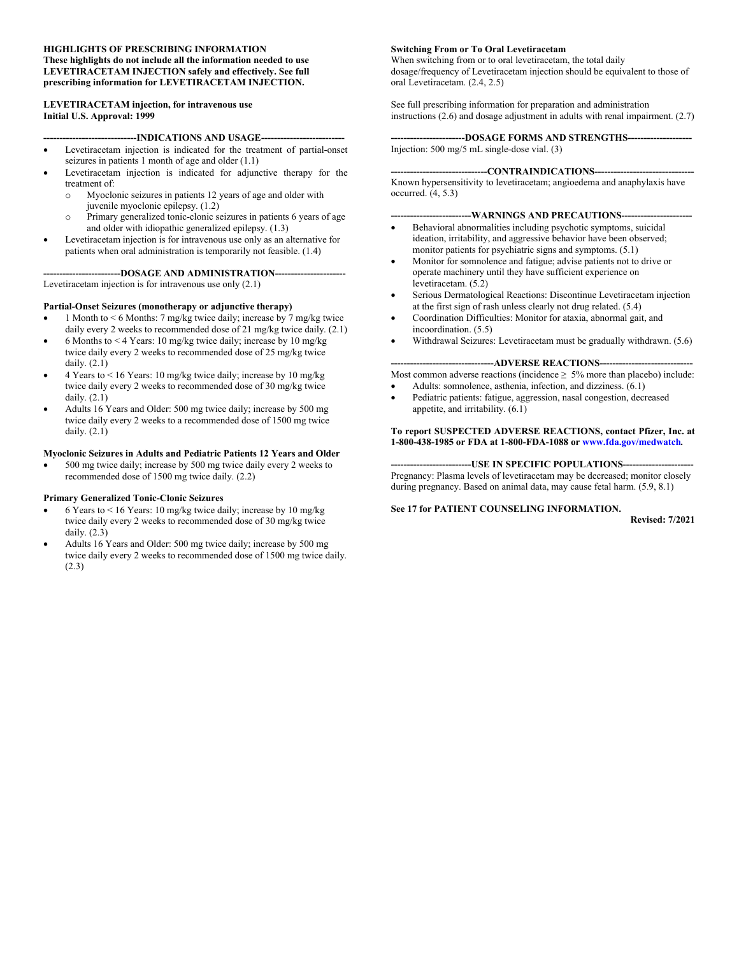#### **HIGHLIGHTS OF PRESCRIBING INFORMATION These highlights do not include all the information needed to use LEVETIRACETAM INJECTION safely and effectively. See full prescribing information for LEVETIRACETAM INJECTION.**

#### **LEVETIRACETAM injection, for intravenous use Initial U.S. Approval: 1999**

#### ---INDICATIONS AND USAGE--- Levetiracetam injection is indicated for the treatment of partial-onset seizures in patients 1 month of age and older (1.1)

- Levetiracetam injection is indicated for adjunctive therapy for the treatment of:
	- o Myoclonic seizures in patients 12 years of age and older with juvenile myoclonic epilepsy. (1.2)
	- o Primary generalized tonic-clonic seizures in patients 6 years of age and older with idiopathic generalized epilepsy. (1.3)
- Levetiracetam injection is for intravenous use only as an alternative for patients when oral administration is temporarily not feasible. (1.4)

**------------------------DOSAGE AND ADMINISTRATION----------------------**

Levetiracetam injection is for intravenous use only (2.1)

#### **Partial-Onset Seizures (monotherapy or adjunctive therapy)**

- 1 Month to < 6 Months: 7 mg/kg twice daily; increase by 7 mg/kg twice daily every 2 weeks to recommended dose of 21 mg/kg twice daily. (2.1)
- 6 Months to < 4 Years: 10 mg/kg twice daily; increase by 10 mg/kg twice daily every 2 weeks to recommended dose of 25 mg/kg twice daily. (2.1)
- 4 Years to < 16 Years: 10 mg/kg twice daily; increase by 10 mg/kg twice daily every 2 weeks to recommended dose of 30 mg/kg twice daily. (2.1)
- Adults 16 Years and Older: 500 mg twice daily; increase by 500 mg twice daily every 2 weeks to a recommended dose of 1500 mg twice daily. (2.1)

#### **Myoclonic Seizures in Adults and Pediatric Patients 12 Years and Older**

 500 mg twice daily; increase by 500 mg twice daily every 2 weeks to recommended dose of 1500 mg twice daily. (2.2)

#### **Primary Generalized Tonic-Clonic Seizures**

- 6 Years to < 16 Years: 10 mg/kg twice daily; increase by 10 mg/kg twice daily every 2 weeks to recommended dose of 30 mg/kg twice daily. (2.3)
- Adults 16 Years and Older: 500 mg twice daily; increase by 500 mg twice daily every 2 weeks to recommended dose of 1500 mg twice daily. (2.3)

#### **Switching From or To Oral Levetiracetam**

When switching from or to oral levetiracetam, the total daily dosage/frequency of Levetiracetam injection should be equivalent to those of oral Levetiracetam. (2.4, 2.5)

See full prescribing information for preparation and administration instructions (2.6) and dosage adjustment in adults with renal impairment. (2.7)

**-----------------------DOSAGE FORMS AND STRENGTHS--------------------** Injection: 500 mg/5 mL single-dose vial. (3)

#### ---CONTRAINDICATIONS----

Known hypersensitivity to levetiracetam; angioedema and anaphylaxis have occurred. (4, 5.3)

#### **-------------------------WARNINGS AND PRECAUTIONS----------------------**

- Behavioral abnormalities including psychotic symptoms, suicidal ideation, irritability, and aggressive behavior have been observed; monitor patients for psychiatric signs and symptoms. (5.1)
- Monitor for somnolence and fatigue; advise patients not to drive or operate machinery until they have sufficient experience on levetiracetam. (5.2)
- Serious Dermatological Reactions: Discontinue Levetiracetam injection at the first sign of rash unless clearly not drug related. (5.4)
- Coordination Difficulties: Monitor for ataxia, abnormal gait, and incoordination. (5.5)
- Withdrawal Seizures: Levetiracetam must be gradually withdrawn. (5.6)

#### ----ADVERSE REACTIONS----

Most common adverse reactions (incidence  $\geq$  5% more than placebo) include:

- Adults: somnolence, asthenia, infection, and dizziness. (6.1)
- Pediatric patients: fatigue, aggression, nasal congestion, decreased appetite, and irritability. (6.1)

#### **To report SUSPECTED ADVERSE REACTIONS, contact Pfizer, Inc. at 1-800-438-1985 or FDA at 1-800-FDA-1088 or [www.fda.gov/medwatch](http://www.fda.gov/medwatch)***.*

**-------------------------USE IN SPECIFIC POPULATIONS----------------------** Pregnancy: Plasma levels of levetiracetam may be decreased; monitor closely during pregnancy. Based on animal data, may cause fetal harm. (5.9, 8.1)

#### **See 17 for PATIENT COUNSELING INFORMATION.**

**Revised: 7/2021**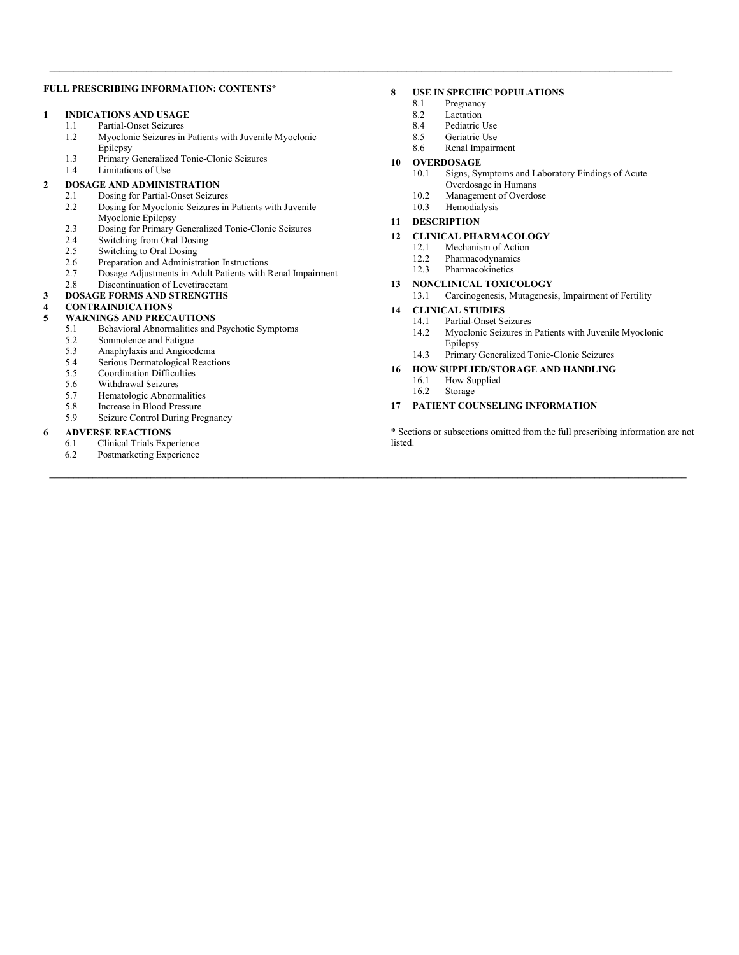#### **FULL PRESCRIBING INFORMATION: CONTENTS\***

#### **1 INDICATIONS AND USAGE**

- 1.1 Partial-Onset Seizures
- 1.2 Myoclonic Seizures in Patients with Juvenile Myoclonic Epilepsy
- 1.3 Primary Generalized Tonic-Clonic Seizures
- 1.4 Limitations of Use

#### **2 DOSAGE AND ADMINISTRATION**

- 2.1 Dosing for Partial-Onset Seizures<br>2.2 Dosing for Myoclonic Seizures in
- Dosing for Myoclonic Seizures in Patients with Juvenile Myoclonic Epilepsy
- 2.3 Dosing for Primary Generalized Tonic-Clonic Seizures<br>2.4 Switching from Oral Dosing
- 2.4 Switching from Oral Dosing<br>2.5 Switching to Oral Dosing
- Switching to Oral Dosing
- 2.6 Preparation and Administration Instructions
- 2.7 Dosage Adjustments in Adult Patients with Renal Impairment<br>2.8 Discontinuation of Levetiracetam
- Discontinuation of Levetiracetam

#### **3 DOSAGE FORMS AND STRENGTHS**

#### **4 CONTRAINDICATIONS**

- **5 WARNINGS AND PRECAUTIONS**<br>5.1 **Behavioral Abnormalities and** 
	- 5.1 Behavioral Abnormalities and Psychotic Symptoms
	-
	- 5.2 Somnolence and Fatigue<br>5.3 Anaphylaxis and Angioec Anaphylaxis and Angioedema
	- 5.4 Serious Dermatological Reactions<br>5.5 Coordination Difficulties
	- Coordination Difficulties
	- 5.6 Withdrawal Seizures
	-
	- 5.7 Hematologic Abnormalities<br>5.8 Increase in Blood Pressure
	- 5.8 Increase in Blood Pressure<br>5.9 Seizure Control During Pre Seizure Control During Pregnancy

#### **6 ADVERSE REACTIONS**

- 6.1 Clinical Trials Experience
- 6.2 Postmarketing Experience

#### **8 USE IN SPECIFIC POPULATIONS**

8.1 Pregnancy<br>8.2 Lactation

 $\mathcal{L} = \{ \mathcal{L} = \{ \mathcal{L} = \{ \mathcal{L} = \{ \mathcal{L} = \{ \mathcal{L} = \{ \mathcal{L} = \{ \mathcal{L} = \{ \mathcal{L} = \{ \mathcal{L} = \{ \mathcal{L} = \{ \mathcal{L} = \{ \mathcal{L} = \{ \mathcal{L} = \{ \mathcal{L} = \{ \mathcal{L} = \{ \mathcal{L} = \{ \mathcal{L} = \{ \mathcal{L} = \{ \mathcal{L} = \{ \mathcal{L} = \{ \mathcal{L} = \{ \mathcal{L} = \{ \mathcal{L} = \{ \mathcal{$ 

**\_\_\_\_\_\_\_\_\_\_\_\_\_\_\_\_\_\_\_\_\_\_\_\_\_\_\_\_\_\_\_\_\_\_\_\_\_\_\_\_\_\_\_\_\_\_\_\_\_\_\_\_\_\_\_\_\_\_\_\_\_\_\_\_\_\_\_\_\_\_\_\_\_\_\_\_\_\_\_\_\_\_\_\_\_\_\_\_\_\_\_\_\_\_\_\_\_\_\_\_\_\_\_\_\_\_\_\_\_\_\_\_\_\_\_\_\_\_\_\_\_\_\_\_\_\_\_\_\_\_\_\_**

- 8.2 Lactation<br>8.4 Pediatric
- Pediatric Use
- 8.5 Geriatric Use
- 8.6 Renal Impairment

#### **10 OVERDOSAGE**

- 10.1 Signs, Symptoms and Laboratory Findings of Acute Overdosage in Humans
- 
- 10.2 Management of Overdose<br>10.3 Hemodialysis Hemodialysis
- **11 DESCRIPTION**

#### **12 CLINICAL PHARMACOLOGY**

- 12.1 Mechanism of Action<br>12.2 Pharmacodynamics
- Pharmacodynamics
- 12.3 Pharmacokinetics
- **13 NONCLINICAL TOXICOLOGY** 13.1 Carcinogenesis, Mutagenesis, Impairment of Fertility

#### **14 CLINICAL STUDIES**

- 14.1 Partial-Onset Seizures<br>14.2 Myoclonic Seizures in
	- Myoclonic Seizures in Patients with Juvenile Myoclonic Epilepsy
- 14.3 Primary Generalized Tonic-Clonic Seizures
- **16 HOW SUPPLIED/STORAGE AND HANDLING**
	- 16.1 How Supplied<br>16.2 Storage
	- Storage

#### **17 PATIENT COUNSELING INFORMATION**

\* Sections or subsections omitted from the full prescribing information are not listed.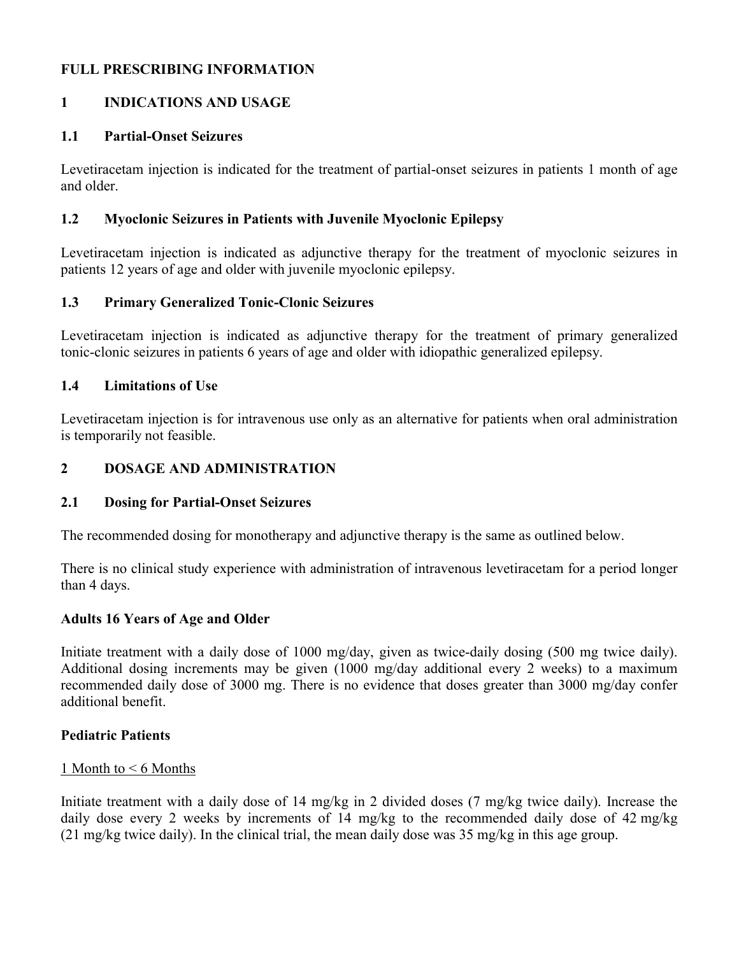## **FULL PRESCRIBING INFORMATION**

# **1 INDICATIONS AND USAGE**

## **1.1 Partial-Onset Seizures**

Levetiracetam injection is indicated for the treatment of partial-onset seizures in patients 1 month of age and older.

## **1.2 Myoclonic Seizures in Patients with Juvenile Myoclonic Epilepsy**

Levetiracetam injection is indicated as adjunctive therapy for the treatment of myoclonic seizures in patients 12 years of age and older with juvenile myoclonic epilepsy.

## **1.3 Primary Generalized Tonic-Clonic Seizures**

Levetiracetam injection is indicated as adjunctive therapy for the treatment of primary generalized tonic-clonic seizures in patients 6 years of age and older with idiopathic generalized epilepsy.

## **1.4 Limitations of Use**

Levetiracetam injection is for intravenous use only as an alternative for patients when oral administration is temporarily not feasible.

## **2 DOSAGE AND ADMINISTRATION**

#### **2.1 Dosing for Partial-Onset Seizures**

The recommended dosing for monotherapy and adjunctive therapy is the same as outlined below.

There is no clinical study experience with administration of intravenous levetiracetam for a period longer than 4 days.

#### **Adults 16 Years of Age and Older**

Initiate treatment with a daily dose of 1000 mg/day, given as twice-daily dosing (500 mg twice daily). Additional dosing increments may be given (1000 mg/day additional every 2 weeks) to a maximum recommended daily dose of 3000 mg. There is no evidence that doses greater than 3000 mg/day confer additional benefit.

#### **Pediatric Patients**

#### 1 Month to < 6 Months

Initiate treatment with a daily dose of 14 mg/kg in 2 divided doses (7 mg/kg twice daily). Increase the daily dose every 2 weeks by increments of 14 mg/kg to the recommended daily dose of 42 mg/kg (21 mg/kg twice daily). In the clinical trial, the mean daily dose was 35 mg/kg in this age group.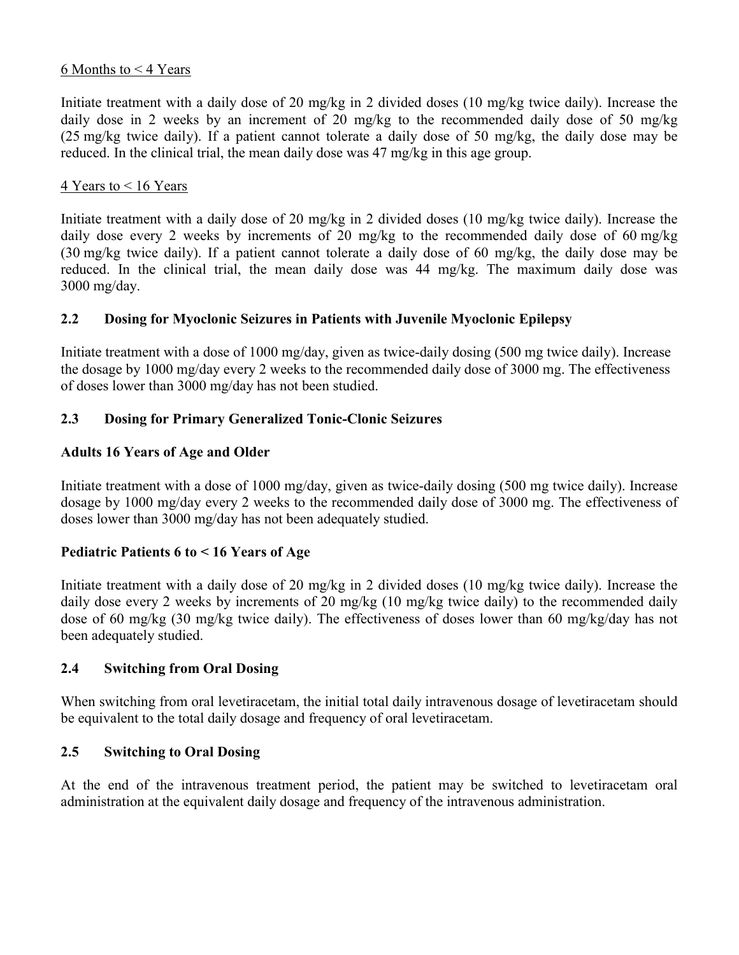## 6 Months to < 4 Years

Initiate treatment with a daily dose of 20 mg/kg in 2 divided doses (10 mg/kg twice daily). Increase the daily dose in 2 weeks by an increment of 20 mg/kg to the recommended daily dose of 50 mg/kg (25 mg/kg twice daily). If a patient cannot tolerate a daily dose of 50 mg/kg, the daily dose may be reduced. In the clinical trial, the mean daily dose was 47 mg/kg in this age group.

## 4 Years to < 16 Years

Initiate treatment with a daily dose of 20 mg/kg in 2 divided doses (10 mg/kg twice daily). Increase the daily dose every 2 weeks by increments of 20 mg/kg to the recommended daily dose of 60 mg/kg (30 mg/kg twice daily). If a patient cannot tolerate a daily dose of 60 mg/kg, the daily dose may be reduced. In the clinical trial, the mean daily dose was 44 mg/kg. The maximum daily dose was 3000 mg/day.

## **2.2 Dosing for Myoclonic Seizures in Patients with Juvenile Myoclonic Epilepsy**

Initiate treatment with a dose of 1000 mg/day, given as twice-daily dosing (500 mg twice daily). Increase the dosage by 1000 mg/day every 2 weeks to the recommended daily dose of 3000 mg. The effectiveness of doses lower than 3000 mg/day has not been studied.

## **2.3 Dosing for Primary Generalized Tonic-Clonic Seizures**

## **Adults 16 Years of Age and Older**

Initiate treatment with a dose of 1000 mg/day, given as twice-daily dosing (500 mg twice daily). Increase dosage by 1000 mg/day every 2 weeks to the recommended daily dose of 3000 mg. The effectiveness of doses lower than 3000 mg/day has not been adequately studied.

## **Pediatric Patients 6 to < 16 Years of Age**

Initiate treatment with a daily dose of 20 mg/kg in 2 divided doses (10 mg/kg twice daily). Increase the daily dose every 2 weeks by increments of 20 mg/kg (10 mg/kg twice daily) to the recommended daily dose of 60 mg/kg (30 mg/kg twice daily). The effectiveness of doses lower than 60 mg/kg/day has not been adequately studied.

## **2.4 Switching from Oral Dosing**

When switching from oral levetiracetam, the initial total daily intravenous dosage of levetiracetam should be equivalent to the total daily dosage and frequency of oral levetiracetam.

### **2.5 Switching to Oral Dosing**

At the end of the intravenous treatment period, the patient may be switched to levetiracetam oral administration at the equivalent daily dosage and frequency of the intravenous administration.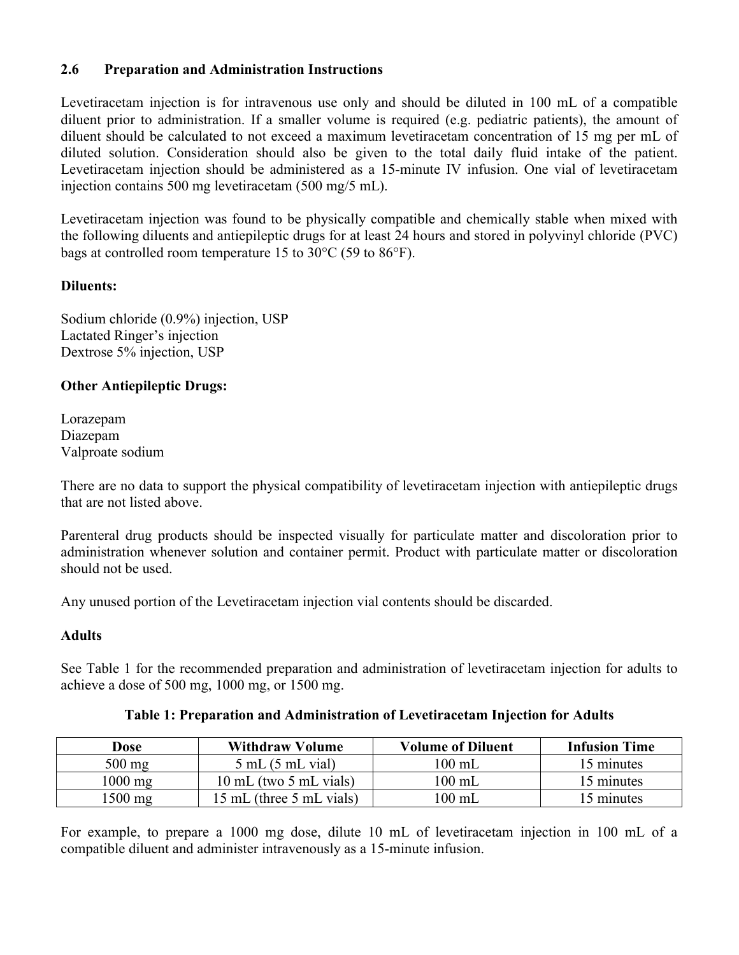## **2.6 Preparation and Administration Instructions**

Levetiracetam injection is for intravenous use only and should be diluted in 100 mL of a compatible diluent prior to administration. If a smaller volume is required (e.g. pediatric patients), the amount of diluent should be calculated to not exceed a maximum levetiracetam concentration of 15 mg per mL of diluted solution. Consideration should also be given to the total daily fluid intake of the patient. Levetiracetam injection should be administered as a 15-minute IV infusion. One vial of levetiracetam injection contains 500 mg levetiracetam (500 mg/5 mL).

Levetiracetam injection was found to be physically compatible and chemically stable when mixed with the following diluents and antiepileptic drugs for at least 24 hours and stored in polyvinyl chloride (PVC) bags at controlled room temperature 15 to 30°C (59 to 86°F).

## **Diluents:**

Sodium chloride (0.9%) injection, USP Lactated Ringer's injection Dextrose 5% injection, USP

## **Other Antiepileptic Drugs:**

Lorazepam Diazepam Valproate sodium

There are no data to support the physical compatibility of levetiracetam injection with antiepileptic drugs that are not listed above.

Parenteral drug products should be inspected visually for particulate matter and discoloration prior to administration whenever solution and container permit. Product with particulate matter or discoloration should not be used.

Any unused portion of the Levetiracetam injection vial contents should be discarded.

## **Adults**

See Table 1 for the recommended preparation and administration of levetiracetam injection for adults to achieve a dose of 500 mg, 1000 mg, or 1500 mg.

| Dose              | <b>Withdraw Volume</b>           | <b>Volume of Diluent</b> | <b>Infusion Time</b>   |
|-------------------|----------------------------------|--------------------------|------------------------|
| $500$ mg          | $5 \text{ mL}$ (5 mL vial)       | $100$ mL                 | 15 minutes             |
| $1000 \text{ mg}$ | $10 \text{ mL}$ (two 5 mL vials) | $100$ mL                 | 15 minutes             |
| 1500 mg           | 15 mL (three 5 mL vials)         | $100$ mL                 | <sup>1</sup> 5 minutes |

## **Table 1: Preparation and Administration of Levetiracetam Injection for Adults**

For example, to prepare a 1000 mg dose, dilute 10 mL of levetiracetam injection in 100 mL of a compatible diluent and administer intravenously as a 15-minute infusion.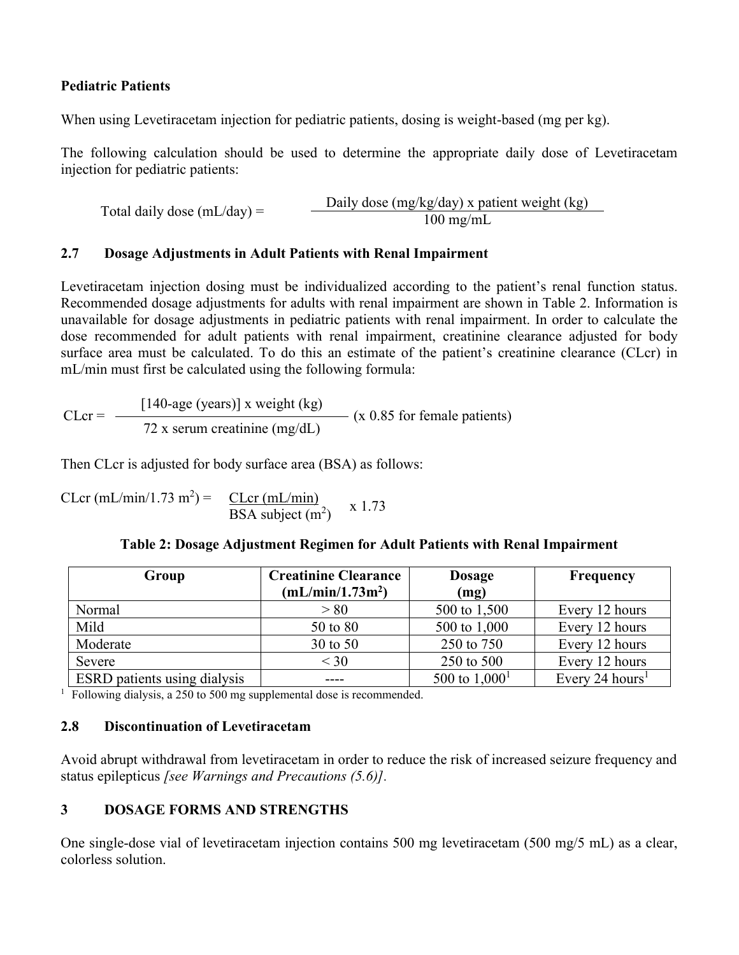## **Pediatric Patients**

When using Levetiracetam injection for pediatric patients, dosing is weight-based (mg per kg).

The following calculation should be used to determine the appropriate daily dose of Levetiracetam injection for pediatric patients:

Total daily dose  $(mL/day) =$  Daily dose  $(mg/kg/day)$  x patient weight (kg)

## **2.7 Dosage Adjustments in Adult Patients with Renal Impairment**

Levetiracetam injection dosing must be individualized according to the patient's renal function status. Recommended dosage adjustments for adults with renal impairment are shown in Table 2. Information is unavailable for dosage adjustments in pediatric patients with renal impairment. In order to calculate the dose recommended for adult patients with renal impairment, creatinine clearance adjusted for body surface area must be calculated. To do this an estimate of the patient's creatinine clearance (CLcr) in mL/min must first be calculated using the following formula:

 $CLcr =$ [140-age (years)] x weight (kg) (x 0.85 for female patients) 72 x serum creatinine (mg/dL)

Then CLcr is adjusted for body surface area (BSA) as follows:

CLcr (mL/min/1.73 m<sup>2</sup>) =  $\frac{CLcr (mL/min)}{BSA \text{ subject (m}^2)}$  x 1.73

## **Table 2: Dosage Adjustment Regimen for Adult Patients with Renal Impairment**

| Group                        | <b>Creatinine Clearance</b>  | <b>Dosage</b>    | <b>Frequency</b>            |
|------------------------------|------------------------------|------------------|-----------------------------|
|                              | (mL/min/1.73m <sup>2</sup> ) | (mg)             |                             |
| Normal                       | > 80                         | 500 to 1,500     | Every 12 hours              |
| Mild                         | 50 to 80                     | 500 to 1,000     | Every 12 hours              |
| Moderate                     | 30 to 50                     | 250 to 750       | Every 12 hours              |
| Severe                       | $<$ 30                       | 250 to 500       | Every 12 hours              |
| ESRD patients using dialysis |                              | 500 to $1,000^1$ | Every 24 hours <sup>1</sup> |

<sup>1</sup> Following dialysis, a 250 to 500 mg supplemental dose is recommended.

## **2.8 Discontinuation of Levetiracetam**

Avoid abrupt withdrawal from levetiracetam in order to reduce the risk of increased seizure frequency and status epilepticus *[see Warnings and Precautions (5.6)].*

# **3 DOSAGE FORMS AND STRENGTHS**

One single-dose vial of levetiracetam injection contains 500 mg levetiracetam (500 mg/5 mL) as a clear, colorless solution.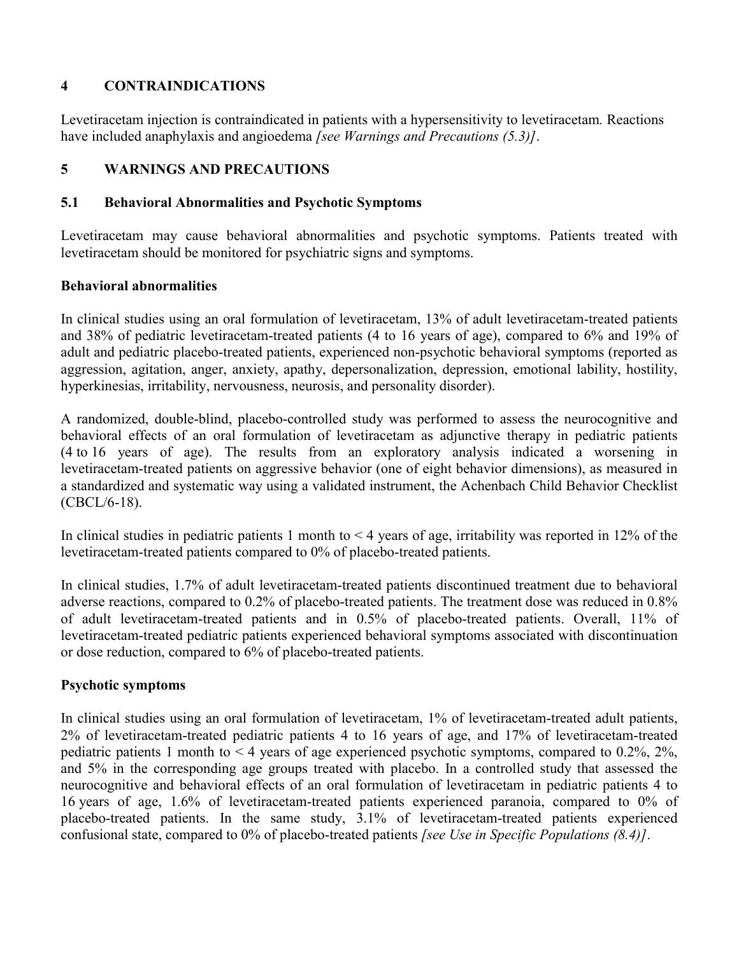## **4 CONTRAINDICATIONS**

Levetiracetam injection is contraindicated in patients with a hypersensitivity to levetiracetam*.* Reactions have included anaphylaxis and angioedema *[see Warnings and Precautions (5.3)]*.

## **5 WARNINGS AND PRECAUTIONS**

## **5.1 Behavioral Abnormalities and Psychotic Symptoms**

Levetiracetam may cause behavioral abnormalities and psychotic symptoms. Patients treated with levetiracetam should be monitored for psychiatric signs and symptoms.

## **Behavioral abnormalities**

In clinical studies using an oral formulation of levetiracetam, 13% of adult levetiracetam-treated patients and 38% of pediatric levetiracetam-treated patients (4 to 16 years of age), compared to 6% and 19% of adult and pediatric placebo-treated patients, experienced non-psychotic behavioral symptoms (reported as aggression, agitation, anger, anxiety, apathy, depersonalization, depression, emotional lability, hostility, hyperkinesias, irritability, nervousness, neurosis, and personality disorder).

A randomized, double-blind, placebo-controlled study was performed to assess the neurocognitive and behavioral effects of an oral formulation of levetiracetam as adjunctive therapy in pediatric patients (4 to 16 years of age). The results from an exploratory analysis indicated a worsening in levetiracetam-treated patients on aggressive behavior (one of eight behavior dimensions), as measured in a standardized and systematic way using a validated instrument, the Achenbach Child Behavior Checklist (CBCL/6-18).

In clinical studies in pediatric patients 1 month to  $\leq 4$  years of age, irritability was reported in 12% of the levetiracetam-treated patients compared to 0% of placebo-treated patients.

In clinical studies, 1.7% of adult levetiracetam-treated patients discontinued treatment due to behavioral adverse reactions, compared to 0.2% of placebo-treated patients. The treatment dose was reduced in 0.8% of adult levetiracetam-treated patients and in 0.5% of placebo-treated patients. Overall, 11% of levetiracetam-treated pediatric patients experienced behavioral symptoms associated with discontinuation or dose reduction, compared to 6% of placebo-treated patients.

## **Psychotic symptoms**

In clinical studies using an oral formulation of levetiracetam, 1% of levetiracetam-treated adult patients, 2% of levetiracetam-treated pediatric patients 4 to 16 years of age, and 17% of levetiracetam-treated pediatric patients 1 month to < 4 years of age experienced psychotic symptoms, compared to 0.2%, 2%, and 5% in the corresponding age groups treated with placebo. In a controlled study that assessed the neurocognitive and behavioral effects of an oral formulation of levetiracetam in pediatric patients 4 to 16 years of age, 1.6% of levetiracetam-treated patients experienced paranoia, compared to 0% of placebo-treated patients. In the same study, 3.1% of levetiracetam-treated patients experienced confusional state, compared to 0% of placebo-treated patients *[see Use in Specific Populations (8.4)]*.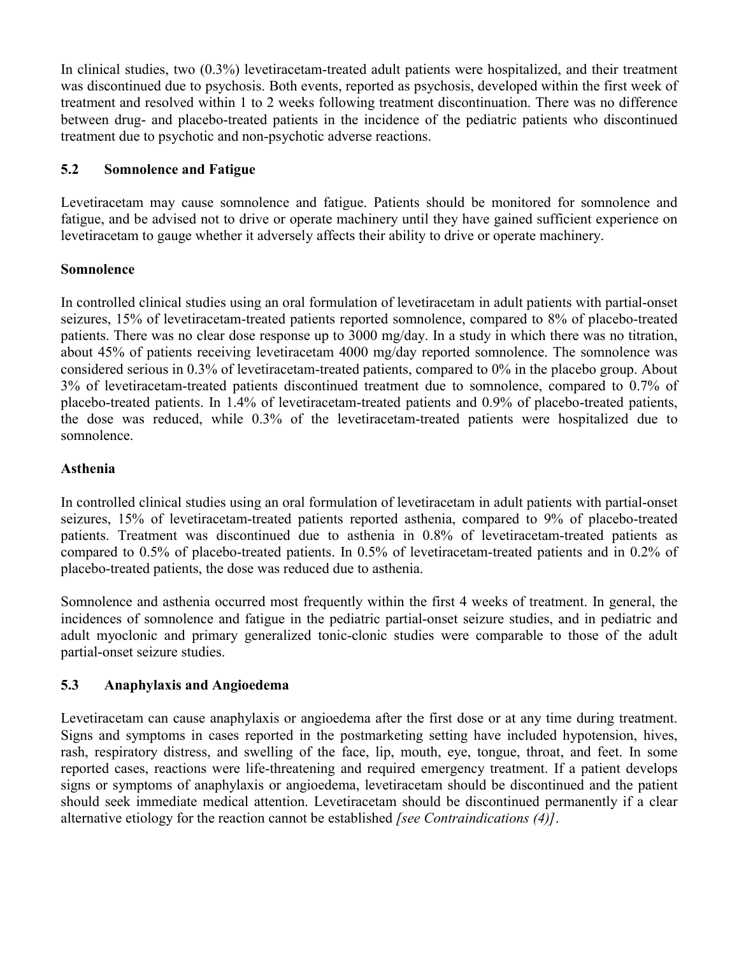In clinical studies, two (0.3%) levetiracetam-treated adult patients were hospitalized, and their treatment was discontinued due to psychosis. Both events, reported as psychosis, developed within the first week of treatment and resolved within 1 to 2 weeks following treatment discontinuation. There was no difference between drug- and placebo-treated patients in the incidence of the pediatric patients who discontinued treatment due to psychotic and non-psychotic adverse reactions.

## **5.2 Somnolence and Fatigue**

Levetiracetam may cause somnolence and fatigue. Patients should be monitored for somnolence and fatigue, and be advised not to drive or operate machinery until they have gained sufficient experience on levetiracetam to gauge whether it adversely affects their ability to drive or operate machinery.

## **Somnolence**

In controlled clinical studies using an oral formulation of levetiracetam in adult patients with partial-onset seizures, 15% of levetiracetam-treated patients reported somnolence, compared to 8% of placebo-treated patients. There was no clear dose response up to 3000 mg/day. In a study in which there was no titration, about 45% of patients receiving levetiracetam 4000 mg/day reported somnolence. The somnolence was considered serious in 0.3% of levetiracetam-treated patients, compared to 0% in the placebo group. About 3% of levetiracetam-treated patients discontinued treatment due to somnolence, compared to 0.7% of placebo-treated patients. In 1.4% of levetiracetam-treated patients and 0.9% of placebo-treated patients, the dose was reduced, while 0.3% of the levetiracetam-treated patients were hospitalized due to somnolence.

## **Asthenia**

In controlled clinical studies using an oral formulation of levetiracetam in adult patients with partial-onset seizures, 15% of levetiracetam-treated patients reported asthenia, compared to 9% of placebo-treated patients. Treatment was discontinued due to asthenia in 0.8% of levetiracetam-treated patients as compared to 0.5% of placebo-treated patients. In 0.5% of levetiracetam-treated patients and in 0.2% of placebo-treated patients, the dose was reduced due to asthenia.

Somnolence and asthenia occurred most frequently within the first 4 weeks of treatment. In general, the incidences of somnolence and fatigue in the pediatric partial-onset seizure studies, and in pediatric and adult myoclonic and primary generalized tonic-clonic studies were comparable to those of the adult partial-onset seizure studies.

## **5.3 Anaphylaxis and Angioedema**

Levetiracetam can cause anaphylaxis or angioedema after the first dose or at any time during treatment. Signs and symptoms in cases reported in the postmarketing setting have included hypotension, hives, rash, respiratory distress, and swelling of the face, lip, mouth, eye, tongue, throat, and feet. In some reported cases, reactions were life-threatening and required emergency treatment. If a patient develops signs or symptoms of anaphylaxis or angioedema, levetiracetam should be discontinued and the patient should seek immediate medical attention. Levetiracetam should be discontinued permanently if a clear alternative etiology for the reaction cannot be established *[see Contraindications (4)]*.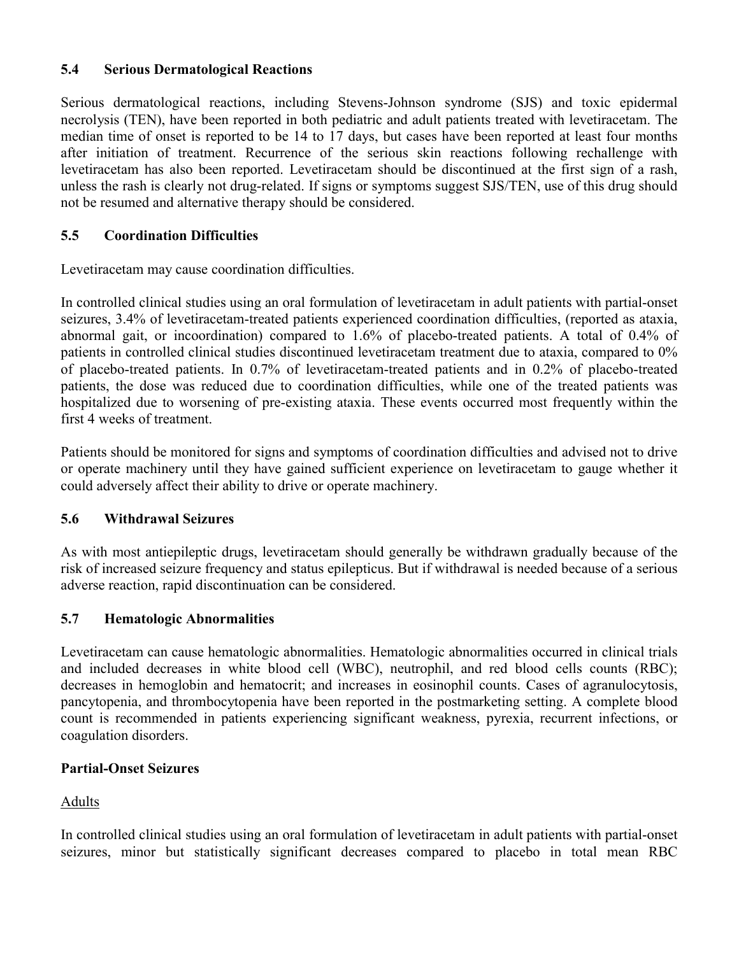## **5.4 Serious Dermatological Reactions**

Serious dermatological reactions, including Stevens-Johnson syndrome (SJS) and toxic epidermal necrolysis (TEN), have been reported in both pediatric and adult patients treated with levetiracetam. The median time of onset is reported to be 14 to 17 days, but cases have been reported at least four months after initiation of treatment. Recurrence of the serious skin reactions following rechallenge with levetiracetam has also been reported. Levetiracetam should be discontinued at the first sign of a rash, unless the rash is clearly not drug-related. If signs or symptoms suggest SJS/TEN, use of this drug should not be resumed and alternative therapy should be considered.

# **5.5 Coordination Difficulties**

Levetiracetam may cause coordination difficulties.

In controlled clinical studies using an oral formulation of levetiracetam in adult patients with partial-onset seizures, 3.4% of levetiracetam-treated patients experienced coordination difficulties, (reported as ataxia, abnormal gait, or incoordination) compared to 1.6% of placebo-treated patients. A total of 0.4% of patients in controlled clinical studies discontinued levetiracetam treatment due to ataxia, compared to 0% of placebo-treated patients. In 0.7% of levetiracetam-treated patients and in 0.2% of placebo-treated patients, the dose was reduced due to coordination difficulties, while one of the treated patients was hospitalized due to worsening of pre-existing ataxia. These events occurred most frequently within the first 4 weeks of treatment.

Patients should be monitored for signs and symptoms of coordination difficulties and advised not to drive or operate machinery until they have gained sufficient experience on levetiracetam to gauge whether it could adversely affect their ability to drive or operate machinery.

## **5.6 Withdrawal Seizures**

As with most antiepileptic drugs, levetiracetam should generally be withdrawn gradually because of the risk of increased seizure frequency and status epilepticus. But if withdrawal is needed because of a serious adverse reaction, rapid discontinuation can be considered.

## **5.7 Hematologic Abnormalities**

Levetiracetam can cause hematologic abnormalities. Hematologic abnormalities occurred in clinical trials and included decreases in white blood cell (WBC), neutrophil, and red blood cells counts (RBC); decreases in hemoglobin and hematocrit; and increases in eosinophil counts. Cases of agranulocytosis, pancytopenia, and thrombocytopenia have been reported in the postmarketing setting. A complete blood count is recommended in patients experiencing significant weakness, pyrexia, recurrent infections, or coagulation disorders.

## **Partial-Onset Seizures**

# Adults

In controlled clinical studies using an oral formulation of levetiracetam in adult patients with partial-onset seizures, minor but statistically significant decreases compared to placebo in total mean RBC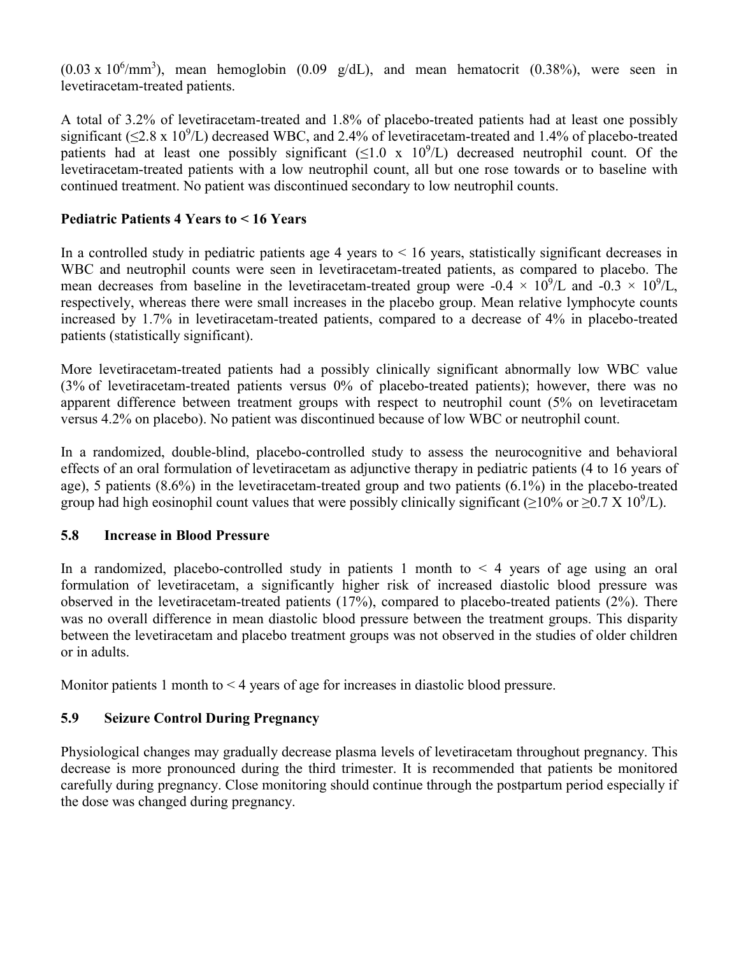$(0.03 \times 10^6/\text{mm}^3)$ , mean hemoglobin  $(0.09 \text{ g/dL})$ , and mean hematocrit  $(0.38\%)$ , were seen in levetiracetam-treated patients.

A total of 3.2% of levetiracetam-treated and 1.8% of placebo-treated patients had at least one possibly significant ( $\leq$ 2.8 x 10<sup>9</sup>/L) decreased WBC, and 2.4% of levetiracetam-treated and 1.4% of placebo-treated patients had at least one possibly significant  $(\leq 1.0 \times 10^9/L)$  decreased neutrophil count. Of the levetiracetam-treated patients with a low neutrophil count, all but one rose towards or to baseline with continued treatment. No patient was discontinued secondary to low neutrophil counts.

## **Pediatric Patients 4 Years to < 16 Years**

In a controlled study in pediatric patients age 4 years to  $< 16$  years, statistically significant decreases in WBC and neutrophil counts were seen in levetiracetam-treated patients, as compared to placebo. The mean decreases from baseline in the levetiracetam-treated group were -0.4  $\times$  10<sup>9</sup>/L and -0.3  $\times$  10<sup>9</sup>/L, respectively, whereas there were small increases in the placebo group. Mean relative lymphocyte counts increased by 1.7% in levetiracetam-treated patients, compared to a decrease of 4% in placebo-treated patients (statistically significant).

More levetiracetam-treated patients had a possibly clinically significant abnormally low WBC value (3% of levetiracetam-treated patients versus 0% of placebo-treated patients); however, there was no apparent difference between treatment groups with respect to neutrophil count (5% on levetiracetam versus 4.2% on placebo). No patient was discontinued because of low WBC or neutrophil count.

In a randomized, double-blind, placebo-controlled study to assess the neurocognitive and behavioral effects of an oral formulation of levetiracetam as adjunctive therapy in pediatric patients (4 to 16 years of age), 5 patients (8.6%) in the levetiracetam-treated group and two patients (6.1%) in the placebo-treated group had high eosinophil count values that were possibly clinically significant ( $\geq$ 10% or  $\geq$ 0.7 X 10<sup>9</sup>/L).

## **5.8 Increase in Blood Pressure**

In a randomized, placebo-controlled study in patients 1 month to  $\leq 4$  years of age using an oral formulation of levetiracetam, a significantly higher risk of increased diastolic blood pressure was observed in the levetiracetam-treated patients (17%), compared to placebo-treated patients (2%). There was no overall difference in mean diastolic blood pressure between the treatment groups. This disparity between the levetiracetam and placebo treatment groups was not observed in the studies of older children or in adults.

Monitor patients 1 month to < 4 years of age for increases in diastolic blood pressure.

# **5.9 Seizure Control During Pregnancy**

Physiological changes may gradually decrease plasma levels of levetiracetam throughout pregnancy. This decrease is more pronounced during the third trimester. It is recommended that patients be monitored carefully during pregnancy. Close monitoring should continue through the postpartum period especially if the dose was changed during pregnancy.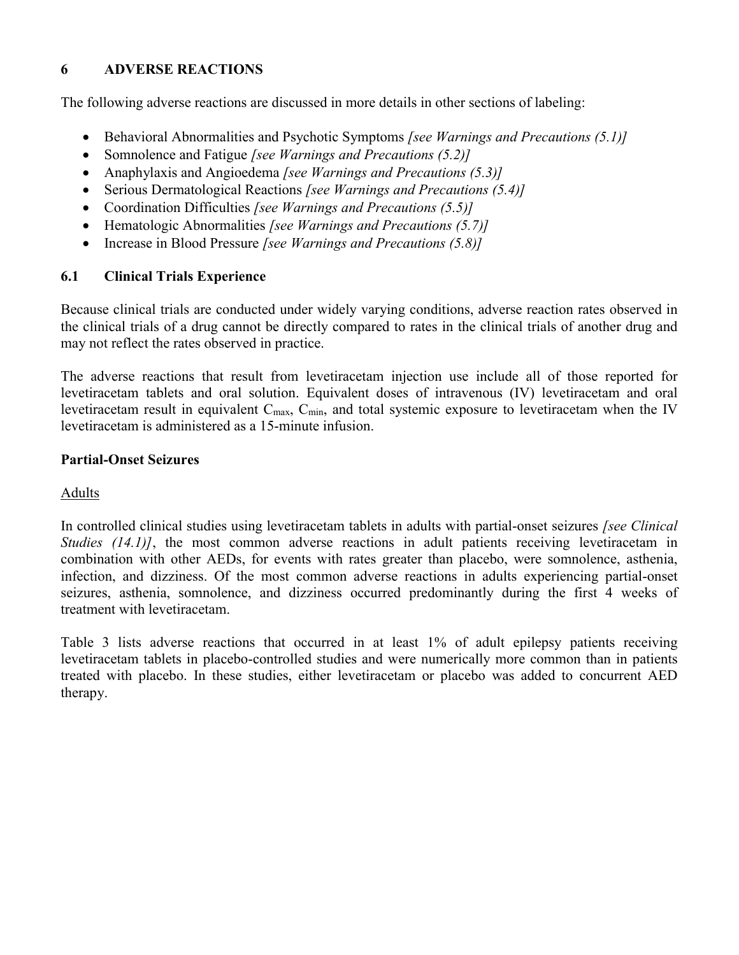# **6 ADVERSE REACTIONS**

The following adverse reactions are discussed in more details in other sections of labeling:

- Behavioral Abnormalities and Psychotic Symptoms *[see Warnings and Precautions (5.1)]*
- Somnolence and Fatigue *[see Warnings and Precautions (5.2)]*
- Anaphylaxis and Angioedema *[see Warnings and Precautions (5.3)]*
- Serious Dermatological Reactions *[see Warnings and Precautions (5.4)]*
- Coordination Difficulties *[see Warnings and Precautions (5.5)]*
- Hematologic Abnormalities *[see Warnings and Precautions (5.7)]*
- Increase in Blood Pressure *[see Warnings and Precautions (5.8)]*

## **6.1 Clinical Trials Experience**

Because clinical trials are conducted under widely varying conditions, adverse reaction rates observed in the clinical trials of a drug cannot be directly compared to rates in the clinical trials of another drug and may not reflect the rates observed in practice.

The adverse reactions that result from levetiracetam injection use include all of those reported for levetiracetam tablets and oral solution. Equivalent doses of intravenous (IV) levetiracetam and oral levetiracetam result in equivalent C<sub>max</sub>, C<sub>min</sub>, and total systemic exposure to levetiracetam when the IV levetiracetam is administered as a 15-minute infusion.

## **Partial-Onset Seizures**

## **Adults**

In controlled clinical studies using levetiracetam tablets in adults with partial-onset seizures *[see Clinical Studies (14.1)]*, the most common adverse reactions in adult patients receiving levetiracetam in combination with other AEDs, for events with rates greater than placebo, were somnolence, asthenia, infection, and dizziness. Of the most common adverse reactions in adults experiencing partial-onset seizures, asthenia, somnolence, and dizziness occurred predominantly during the first 4 weeks of treatment with levetiracetam.

Table 3 lists adverse reactions that occurred in at least 1% of adult epilepsy patients receiving levetiracetam tablets in placebo-controlled studies and were numerically more common than in patients treated with placebo. In these studies, either levetiracetam or placebo was added to concurrent AED therapy.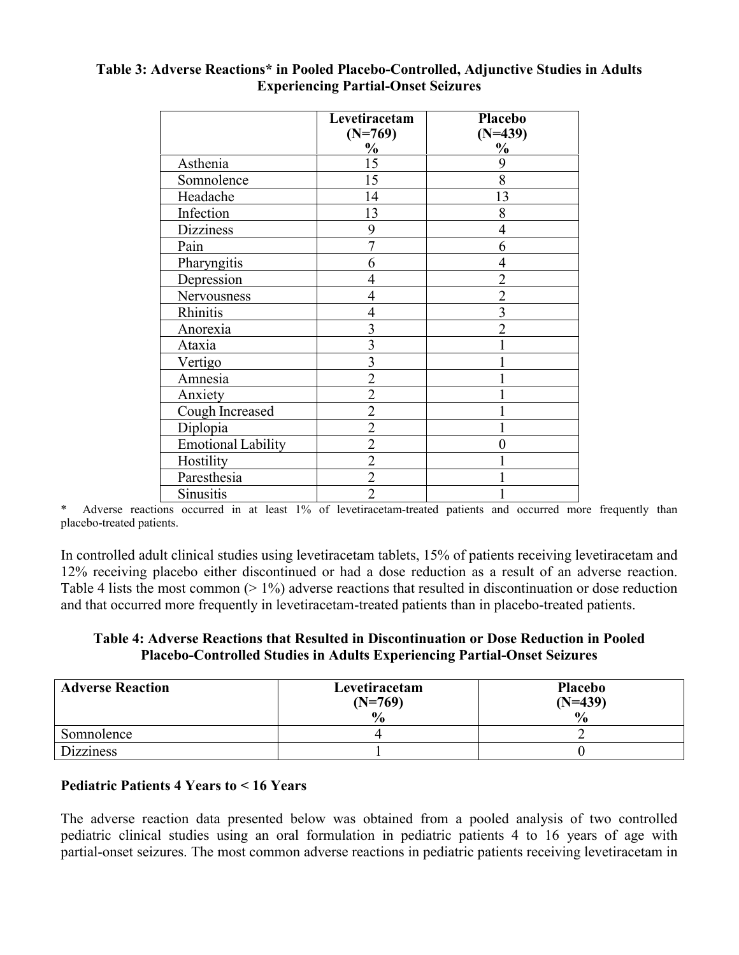|                           | Levetiracetam<br>$(N=769)$ | Placebo<br>$(N=439)$ |
|---------------------------|----------------------------|----------------------|
|                           | $\frac{0}{0}$              | $\frac{0}{0}$        |
| Asthenia                  | 15                         | 9                    |
| Somnolence                | 15                         | 8                    |
| Headache                  | 14                         | 13                   |
| Infection                 | 13                         | 8                    |
| <b>Dizziness</b>          | 9                          | 4                    |
| Pain                      | $\overline{7}$             | 6                    |
| Pharyngitis               | 6                          |                      |
| Depression                | 4                          | $\overline{2}$       |
| Nervousness               | 4                          | $\overline{2}$       |
| Rhinitis                  | 4                          | 3                    |
| Anorexia                  | 3                          |                      |
| Ataxia                    | 3                          |                      |
| Vertigo                   | 3                          |                      |
| Amnesia                   | $\overline{2}$             |                      |
| Anxiety                   | $\overline{2}$             |                      |
| Cough Increased           | $\overline{2}$             |                      |
| Diplopia                  | $\overline{2}$             |                      |
| <b>Emotional Lability</b> | $\overline{2}$             |                      |
| Hostility                 | $\overline{2}$             |                      |
| Paresthesia               | $\overline{2}$             |                      |
| <b>Sinusitis</b>          | $\overline{2}$             |                      |

## **Table 3: Adverse Reactions\* in Pooled Placebo-Controlled, Adjunctive Studies in Adults Experiencing Partial-Onset Seizures**

\* Adverse reactions occurred in at least 1% of levetiracetam-treated patients and occurred more frequently than placebo-treated patients.

In controlled adult clinical studies using levetiracetam tablets, 15% of patients receiving levetiracetam and 12% receiving placebo either discontinued or had a dose reduction as a result of an adverse reaction. Table 4 lists the most common  $(>1\%)$  adverse reactions that resulted in discontinuation or dose reduction and that occurred more frequently in levetiracetam-treated patients than in placebo-treated patients.

## **Table 4: Adverse Reactions that Resulted in Discontinuation or Dose Reduction in Pooled Placebo-Controlled Studies in Adults Experiencing Partial-Onset Seizures**

| <b>Adverse Reaction</b> | Levetiracetam<br>$(N=769)$<br>$\frac{0}{0}$ | <b>Placebo</b><br>$(N=439)$<br>$\frac{0}{0}$ |
|-------------------------|---------------------------------------------|----------------------------------------------|
| Somnolence              |                                             |                                              |
| <b>Dizziness</b>        |                                             |                                              |

## **Pediatric Patients 4 Years to < 16 Years**

The adverse reaction data presented below was obtained from a pooled analysis of two controlled pediatric clinical studies using an oral formulation in pediatric patients 4 to 16 years of age with partial-onset seizures. The most common adverse reactions in pediatric patients receiving levetiracetam in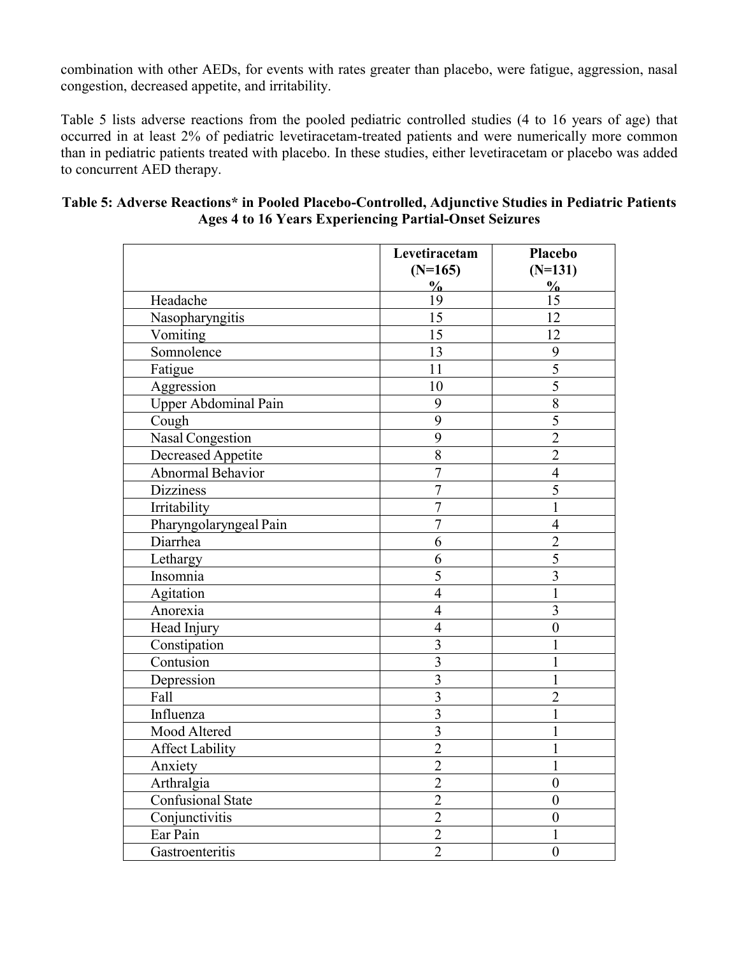combination with other AEDs, for events with rates greater than placebo, were fatigue, aggression, nasal congestion, decreased appetite, and irritability.

Table 5 lists adverse reactions from the pooled pediatric controlled studies (4 to 16 years of age) that occurred in at least 2% of pediatric levetiracetam-treated patients and were numerically more common than in pediatric patients treated with placebo. In these studies, either levetiracetam or placebo was added to concurrent AED therapy.

|                             | Levetiracetam<br>$(N=165)$ | <b>Placebo</b><br>$(N=131)$ |
|-----------------------------|----------------------------|-----------------------------|
| Headache                    | $\frac{0}{0}$<br>19        | $\frac{0}{0}$<br>15         |
| Nasopharyngitis             | 15                         | 12                          |
| Vomiting                    | 15                         | 12                          |
| Somnolence                  | 13                         | 9                           |
| Fatigue                     | 11                         | $\overline{5}$              |
| Aggression                  | 10                         | $\overline{5}$              |
| <b>Upper Abdominal Pain</b> | 9                          | 8                           |
| Cough                       | 9                          | 5                           |
| Nasal Congestion            | 9                          | $\overline{2}$              |
| <b>Decreased Appetite</b>   | $\overline{8}$             | $\overline{2}$              |
| <b>Abnormal Behavior</b>    | $\overline{7}$             | $\overline{4}$              |
| <b>Dizziness</b>            | $\overline{7}$             | 5                           |
| Irritability                | $\overline{7}$             | $\mathbf{1}$                |
| Pharyngolaryngeal Pain      | $\overline{7}$             | $\overline{4}$              |
| Diarrhea                    | 6                          | $\overline{2}$              |
| Lethargy                    | 6                          | 5                           |
| Insomnia                    | 5                          | $\overline{3}$              |
| Agitation                   | $\overline{4}$             | $\mathbf{1}$                |
| Anorexia                    | $\overline{4}$             | $\overline{3}$              |
| Head Injury                 | $\overline{4}$             | $\overline{0}$              |
| Constipation                | 3                          |                             |
| Contusion                   | $\overline{3}$             |                             |
| Depression                  | $\overline{3}$             | 1                           |
| Fall                        | $\overline{3}$             | $\overline{2}$              |
| Influenza                   | $\overline{3}$             |                             |
| Mood Altered                | $\overline{3}$             | 1                           |
| <b>Affect Lability</b>      | $\overline{c}$             | 1                           |
| Anxiety                     | $\overline{2}$             | $\mathbf{1}$                |
| Arthralgia                  | $\overline{2}$             | $\overline{0}$              |
| Confusional State           | $\overline{c}$             | $\overline{0}$              |
| Conjunctivitis              | $\overline{2}$             | $\mathbf{0}$                |
| Ear Pain                    | $\overline{2}$             |                             |
| Gastroenteritis             | $\overline{2}$             | $\boldsymbol{0}$            |

### **Table 5: Adverse Reactions\* in Pooled Placebo-Controlled, Adjunctive Studies in Pediatric Patients Ages 4 to 16 Years Experiencing Partial-Onset Seizures**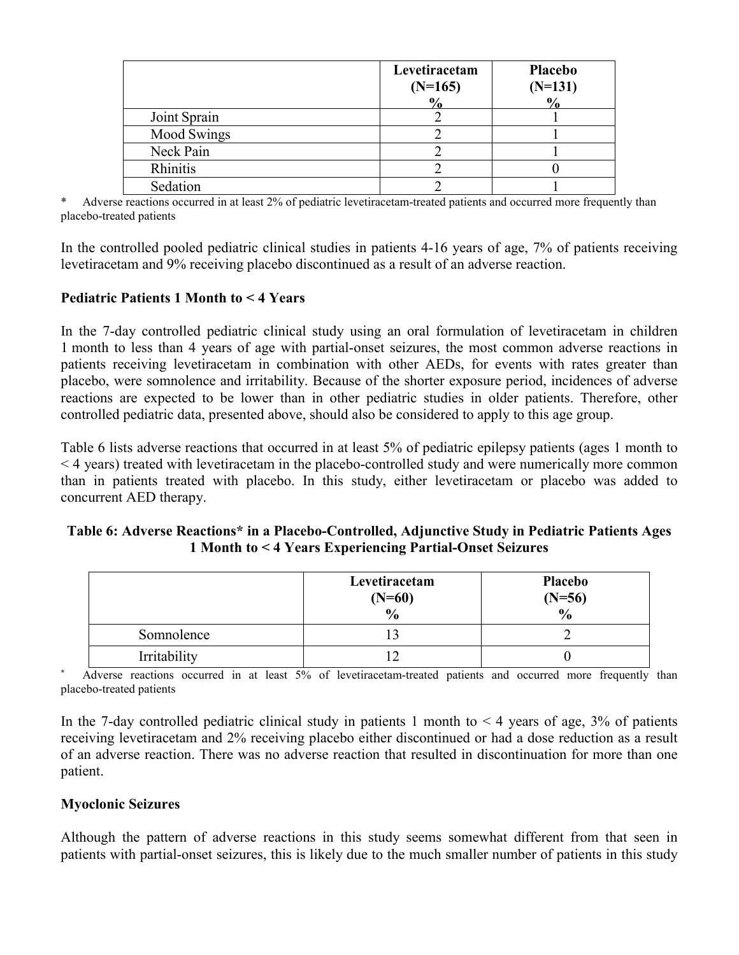|                    | Levetiracetam<br>$(N=165)$ | <b>Placebo</b><br>$(N=131)$ |
|--------------------|----------------------------|-----------------------------|
|                    | 0/2                        |                             |
| Joint Sprain       |                            |                             |
| <b>Mood Swings</b> |                            |                             |
| Neck Pain          |                            |                             |
| Rhinitis           |                            |                             |
| Sedation           |                            |                             |

Adverse reactions occurred in at least 2% of pediatric levetiracetam-treated patients and occurred more frequently than placebo-treated patients

In the controlled pooled pediatric clinical studies in patients 4-16 years of age, 7% of patients receiving levetiracetam and 9% receiving placebo discontinued as a result of an adverse reaction.

## **Pediatric Patients 1 Month to < 4 Years**

In the 7-day controlled pediatric clinical study using an oral formulation of levetiracetam in children 1 month to less than 4 years of age with partial-onset seizures, the most common adverse reactions in patients receiving levetiracetam in combination with other AEDs, for events with rates greater than placebo, were somnolence and irritability. Because of the shorter exposure period, incidences of adverse reactions are expected to be lower than in other pediatric studies in older patients. Therefore, other controlled pediatric data, presented above, should also be considered to apply to this age group.

Table 6 lists adverse reactions that occurred in at least 5% of pediatric epilepsy patients (ages 1 month to < 4 years) treated with levetiracetam in the placebo-controlled study and were numerically more common than in patients treated with placebo. In this study, either levetiracetam or placebo was added to concurrent AED therapy.

#### **Table 6: Adverse Reactions\* in a Placebo-Controlled, Adjunctive Study in Pediatric Patients Ages 1 Month to < 4 Years Experiencing Partial-Onset Seizures**

|              | Levetiracetam<br>$(N=60)$<br>$\frac{6}{6}$ | Placebo<br>$(N=56)$<br>$\frac{0}{6}$ |
|--------------|--------------------------------------------|--------------------------------------|
| Somnolence   |                                            |                                      |
| Irritability |                                            |                                      |

Adverse reactions occurred in at least 5% of levetiracetam-treated patients and occurred more frequently than placebo-treated patients

In the 7-day controlled pediatric clinical study in patients 1 month to  $\leq 4$  years of age, 3% of patients receiving levetiracetam and 2% receiving placebo either discontinued or had a dose reduction as a result of an adverse reaction. There was no adverse reaction that resulted in discontinuation for more than one patient.

#### **Myoclonic Seizures**

Although the pattern of adverse reactions in this study seems somewhat different from that seen in patients with partial-onset seizures, this is likely due to the much smaller number of patients in this study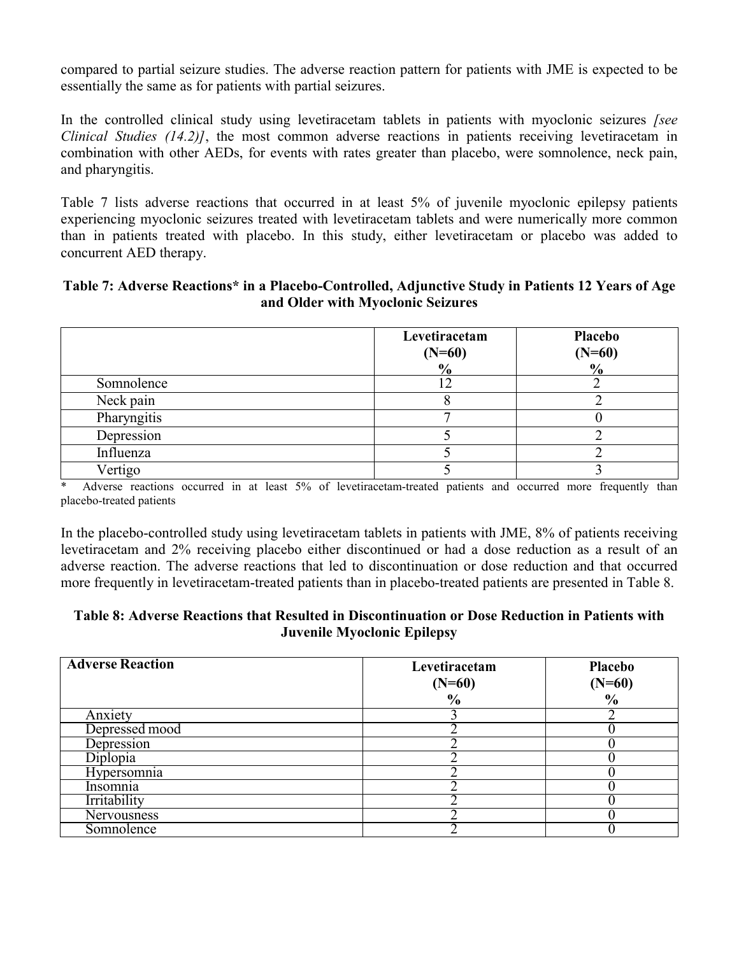compared to partial seizure studies. The adverse reaction pattern for patients with JME is expected to be essentially the same as for patients with partial seizures.

In the controlled clinical study using levetiracetam tablets in patients with myoclonic seizures *[see Clinical Studies (14.2)]*, the most common adverse reactions in patients receiving levetiracetam in combination with other AEDs, for events with rates greater than placebo, were somnolence, neck pain, and pharyngitis.

Table 7 lists adverse reactions that occurred in at least 5% of juvenile myoclonic epilepsy patients experiencing myoclonic seizures treated with levetiracetam tablets and were numerically more common than in patients treated with placebo. In this study, either levetiracetam or placebo was added to concurrent AED therapy.

#### **Table 7: Adverse Reactions\* in a Placebo-Controlled, Adjunctive Study in Patients 12 Years of Age and Older with Myoclonic Seizures**

|             | Levetiracetam<br>$(N=60)$<br>$\frac{0}{0}$ | <b>Placebo</b><br>$(N=60)$<br>$\frac{0}{0}$ |
|-------------|--------------------------------------------|---------------------------------------------|
| Somnolence  |                                            |                                             |
| Neck pain   |                                            |                                             |
| Pharyngitis |                                            |                                             |
| Depression  |                                            |                                             |
| Influenza   |                                            |                                             |
| Vertigo     |                                            |                                             |

\* Adverse reactions occurred in at least 5% of levetiracetam-treated patients and occurred more frequently than placebo-treated patients

In the placebo-controlled study using levetiracetam tablets in patients with JME, 8% of patients receiving levetiracetam and 2% receiving placebo either discontinued or had a dose reduction as a result of an adverse reaction. The adverse reactions that led to discontinuation or dose reduction and that occurred more frequently in levetiracetam-treated patients than in placebo-treated patients are presented in Table 8.

## **Table 8: Adverse Reactions that Resulted in Discontinuation or Dose Reduction in Patients with Juvenile Myoclonic Epilepsy**

| <b>Adverse Reaction</b> | Levetiracetam<br>$(N=60)$ | Placebo<br>$(N=60)$ |
|-------------------------|---------------------------|---------------------|
|                         | $\frac{6}{6}$             | $\frac{0}{0}$       |
| Anxiety                 |                           |                     |
| Depressed mood          |                           |                     |
| Depression              |                           |                     |
| Diplopia                |                           |                     |
| Hypersomnia             |                           |                     |
| Insomnia                |                           |                     |
| Irritability            |                           |                     |
| Nervousness             |                           |                     |
| Somnolence              |                           |                     |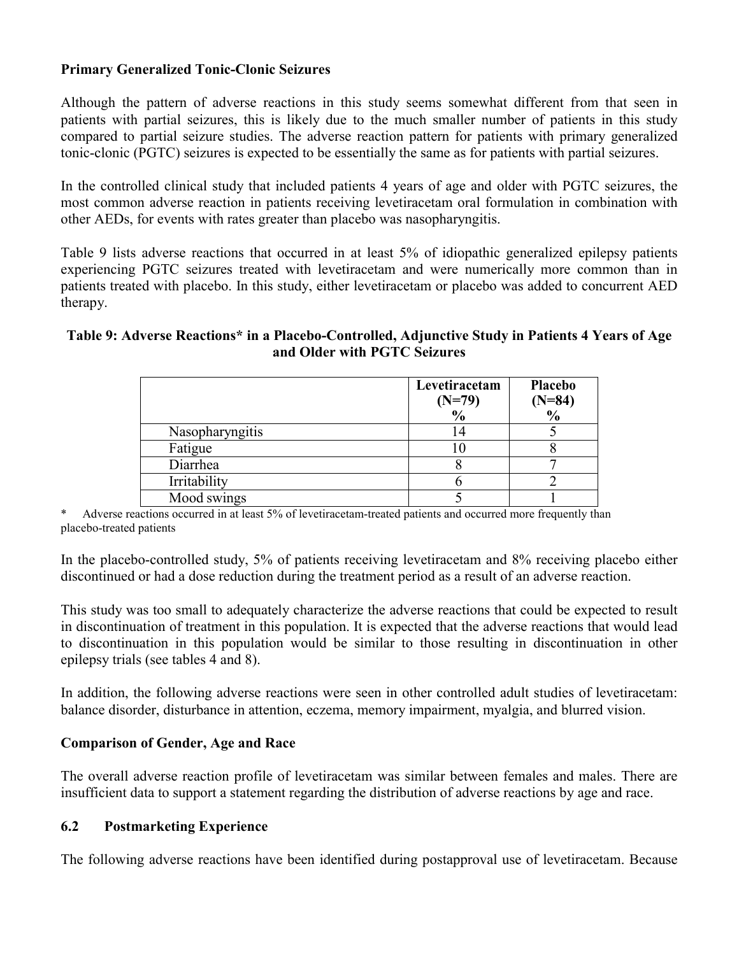## **Primary Generalized Tonic-Clonic Seizures**

Although the pattern of adverse reactions in this study seems somewhat different from that seen in patients with partial seizures, this is likely due to the much smaller number of patients in this study compared to partial seizure studies. The adverse reaction pattern for patients with primary generalized tonic-clonic (PGTC) seizures is expected to be essentially the same as for patients with partial seizures.

In the controlled clinical study that included patients 4 years of age and older with PGTC seizures, the most common adverse reaction in patients receiving levetiracetam oral formulation in combination with other AEDs, for events with rates greater than placebo was nasopharyngitis.

Table 9 lists adverse reactions that occurred in at least 5% of idiopathic generalized epilepsy patients experiencing PGTC seizures treated with levetiracetam and were numerically more common than in patients treated with placebo. In this study, either levetiracetam or placebo was added to concurrent AED therapy.

## **Table 9: Adverse Reactions\* in a Placebo-Controlled, Adjunctive Study in Patients 4 Years of Age and Older with PGTC Seizures**

|                 | Levetiracetam<br>$(N=79)$<br>$\frac{0}{0}$ | Placebo<br>$(N=84)$ <sup>0</sup> / <sub>0</sub> |
|-----------------|--------------------------------------------|-------------------------------------------------|
| Nasopharyngitis |                                            |                                                 |
| Fatigue         |                                            |                                                 |
| Diarrhea        |                                            |                                                 |
| Irritability    |                                            |                                                 |
| Mood swings     |                                            |                                                 |

Adverse reactions occurred in at least 5% of levetiracetam-treated patients and occurred more frequently than placebo-treated patients

In the placebo-controlled study, 5% of patients receiving levetiracetam and 8% receiving placebo either discontinued or had a dose reduction during the treatment period as a result of an adverse reaction.

This study was too small to adequately characterize the adverse reactions that could be expected to result in discontinuation of treatment in this population. It is expected that the adverse reactions that would lead to discontinuation in this population would be similar to those resulting in discontinuation in other epilepsy trials (see tables 4 and 8).

In addition, the following adverse reactions were seen in other controlled adult studies of levetiracetam: balance disorder, disturbance in attention, eczema, memory impairment, myalgia, and blurred vision.

## **Comparison of Gender, Age and Race**

The overall adverse reaction profile of levetiracetam was similar between females and males. There are insufficient data to support a statement regarding the distribution of adverse reactions by age and race.

## **6.2 Postmarketing Experience**

The following adverse reactions have been identified during postapproval use of levetiracetam. Because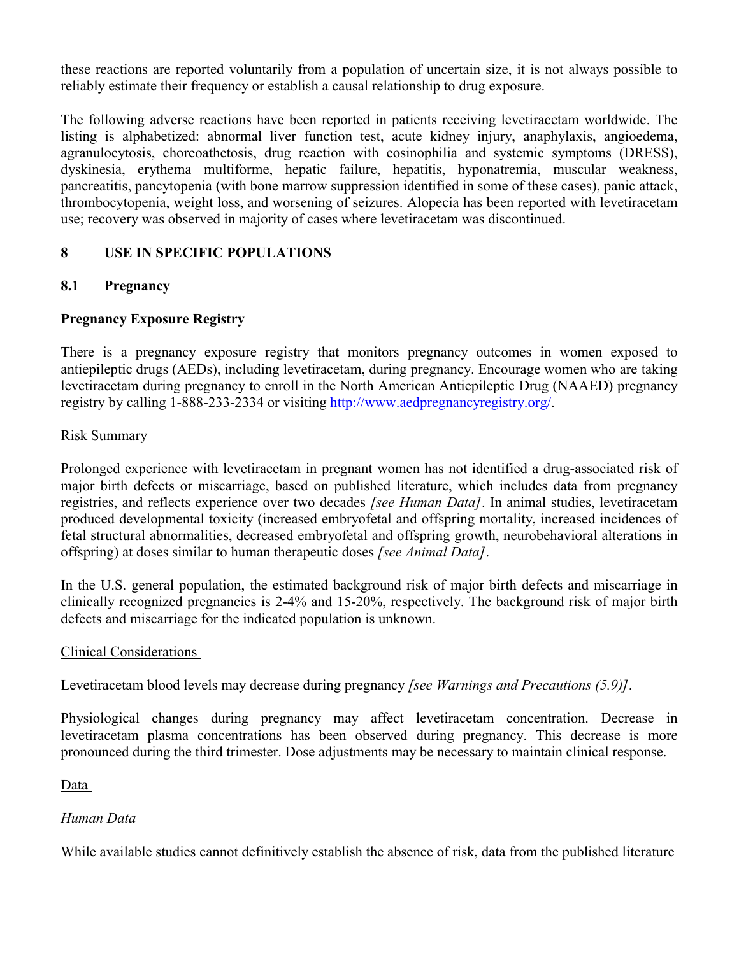these reactions are reported voluntarily from a population of uncertain size, it is not always possible to reliably estimate their frequency or establish a causal relationship to drug exposure.

The following adverse reactions have been reported in patients receiving levetiracetam worldwide. The listing is alphabetized: abnormal liver function test, acute kidney injury, anaphylaxis, angioedema, agranulocytosis, choreoathetosis, drug reaction with eosinophilia and systemic symptoms (DRESS), dyskinesia, erythema multiforme, hepatic failure, hepatitis, hyponatremia, muscular weakness, pancreatitis, pancytopenia (with bone marrow suppression identified in some of these cases), panic attack, thrombocytopenia, weight loss, and worsening of seizures. Alopecia has been reported with levetiracetam use; recovery was observed in majority of cases where levetiracetam was discontinued.

# **8 USE IN SPECIFIC POPULATIONS**

## **8.1 Pregnancy**

## **Pregnancy Exposure Registry**

There is a pregnancy exposure registry that monitors pregnancy outcomes in women exposed to antiepileptic drugs (AEDs), including levetiracetam, during pregnancy. Encourage women who are taking levetiracetam during pregnancy to enroll in the North American Antiepileptic Drug (NAAED) pregnancy registry by calling 1-888-233-2334 or visiting [http://www.aedpregnancyregistry.org/.](http://www.aedpregnancyregistry.org/)

## Risk Summary

Prolonged experience with levetiracetam in pregnant women has not identified a drug-associated risk of major birth defects or miscarriage, based on published literature, which includes data from pregnancy registries, and reflects experience over two decades *[see Human Data]*. In animal studies, levetiracetam produced developmental toxicity (increased embryofetal and offspring mortality, increased incidences of fetal structural abnormalities, decreased embryofetal and offspring growth, neurobehavioral alterations in offspring) at doses similar to human therapeutic doses *[see Animal Data]*.

In the U.S. general population, the estimated background risk of major birth defects and miscarriage in clinically recognized pregnancies is 2-4% and 15-20%, respectively. The background risk of major birth defects and miscarriage for the indicated population is unknown.

#### Clinical Considerations

Levetiracetam blood levels may decrease during pregnancy *[see Warnings and Precautions (5.9)]*.

Physiological changes during pregnancy may affect levetiracetam concentration. Decrease in levetiracetam plasma concentrations has been observed during pregnancy. This decrease is more pronounced during the third trimester. Dose adjustments may be necessary to maintain clinical response.

Data

## *Human Data*

While available studies cannot definitively establish the absence of risk, data from the published literature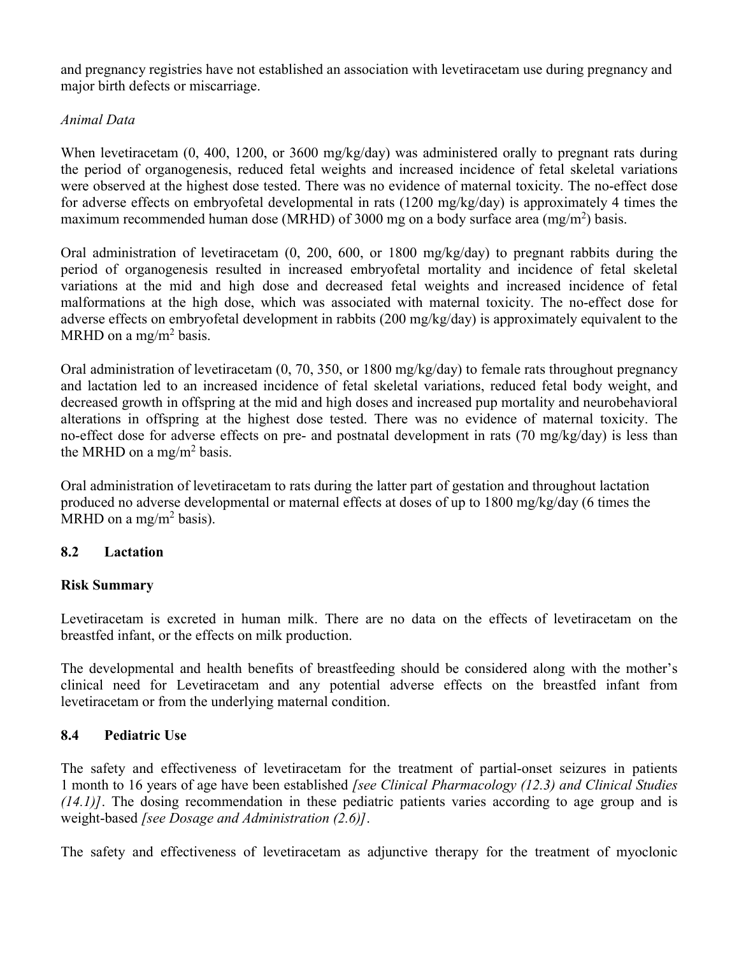and pregnancy registries have not established an association with levetiracetam use during pregnancy and major birth defects or miscarriage.

## *Animal Data*

When levetiracetam (0, 400, 1200, or 3600 mg/kg/day) was administered orally to pregnant rats during the period of organogenesis, reduced fetal weights and increased incidence of fetal skeletal variations were observed at the highest dose tested. There was no evidence of maternal toxicity. The no-effect dose for adverse effects on embryofetal developmental in rats (1200 mg/kg/day) is approximately 4 times the maximum recommended human dose (MRHD) of 3000 mg on a body surface area (mg/m<sup>2</sup>) basis.

Oral administration of levetiracetam (0, 200, 600, or 1800 mg/kg/day) to pregnant rabbits during the period of organogenesis resulted in increased embryofetal mortality and incidence of fetal skeletal variations at the mid and high dose and decreased fetal weights and increased incidence of fetal malformations at the high dose, which was associated with maternal toxicity. The no-effect dose for adverse effects on embryofetal development in rabbits (200 mg/kg/day) is approximately equivalent to the MRHD on a mg/m<sup>2</sup> basis.

Oral administration of levetiracetam (0, 70, 350, or 1800 mg/kg/day) to female rats throughout pregnancy and lactation led to an increased incidence of fetal skeletal variations, reduced fetal body weight, and decreased growth in offspring at the mid and high doses and increased pup mortality and neurobehavioral alterations in offspring at the highest dose tested. There was no evidence of maternal toxicity. The no-effect dose for adverse effects on pre- and postnatal development in rats (70 mg/kg/day) is less than the MRHD on a mg/m<sup>2</sup> basis.

Oral administration of levetiracetam to rats during the latter part of gestation and throughout lactation produced no adverse developmental or maternal effects at doses of up to 1800 mg/kg/day (6 times the MRHD on a mg/m<sup>2</sup> basis).

# **8.2 Lactation**

## **Risk Summary**

Levetiracetam is excreted in human milk. There are no data on the effects of levetiracetam on the breastfed infant, or the effects on milk production.

The developmental and health benefits of breastfeeding should be considered along with the mother's clinical need for Levetiracetam and any potential adverse effects on the breastfed infant from levetiracetam or from the underlying maternal condition.

## **8.4 Pediatric Use**

The safety and effectiveness of levetiracetam for the treatment of partial-onset seizures in patients 1 month to 16 years of age have been established *[see Clinical Pharmacology (12.3) and Clinical Studies (14.1)]*. The dosing recommendation in these pediatric patients varies according to age group and is weight-based *[see Dosage and Administration (2.6)]*.

The safety and effectiveness of levetiracetam as adjunctive therapy for the treatment of myoclonic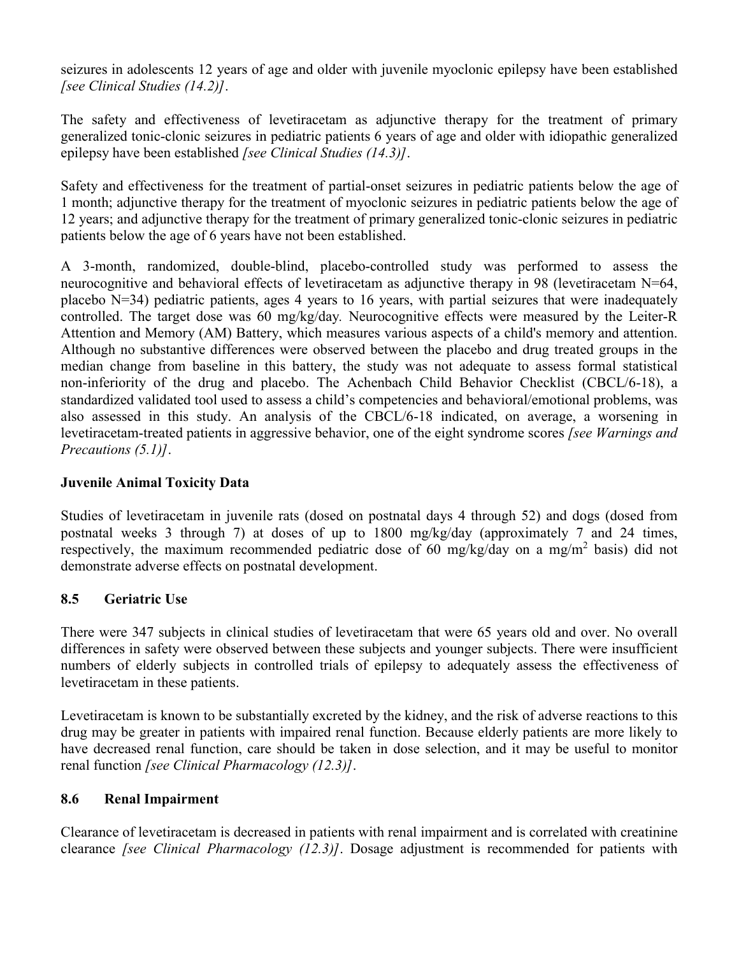seizures in adolescents 12 years of age and older with juvenile myoclonic epilepsy have been established *[see Clinical Studies (14.2)]*.

The safety and effectiveness of levetiracetam as adjunctive therapy for the treatment of primary generalized tonic-clonic seizures in pediatric patients 6 years of age and older with idiopathic generalized epilepsy have been established *[see Clinical Studies (14.3)]*.

Safety and effectiveness for the treatment of partial-onset seizures in pediatric patients below the age of 1 month; adjunctive therapy for the treatment of myoclonic seizures in pediatric patients below the age of 12 years; and adjunctive therapy for the treatment of primary generalized tonic-clonic seizures in pediatric patients below the age of 6 years have not been established.

A 3-month, randomized, double-blind, placebo-controlled study was performed to assess the neurocognitive and behavioral effects of levetiracetam as adjunctive therapy in 98 (levetiracetam N=64, placebo N=34) pediatric patients, ages 4 years to 16 years, with partial seizures that were inadequately controlled. The target dose was 60 mg/kg/day*.* Neurocognitive effects were measured by the Leiter-R Attention and Memory (AM) Battery, which measures various aspects of a child's memory and attention. Although no substantive differences were observed between the placebo and drug treated groups in the median change from baseline in this battery, the study was not adequate to assess formal statistical non-inferiority of the drug and placebo. The Achenbach Child Behavior Checklist (CBCL/6-18), a standardized validated tool used to assess a child's competencies and behavioral/emotional problems, was also assessed in this study. An analysis of the CBCL/6-18 indicated, on average, a worsening in levetiracetam-treated patients in aggressive behavior, one of the eight syndrome scores *[see Warnings and Precautions (5.1)]*.

## **Juvenile Animal Toxicity Data**

Studies of levetiracetam in juvenile rats (dosed on postnatal days 4 through 52) and dogs (dosed from postnatal weeks 3 through 7) at doses of up to 1800 mg/kg/day (approximately 7 and 24 times, respectively, the maximum recommended pediatric dose of 60 mg/kg/day on a mg/m<sup>2</sup> basis) did not demonstrate adverse effects on postnatal development.

# **8.5 Geriatric Use**

There were 347 subjects in clinical studies of levetiracetam that were 65 years old and over. No overall differences in safety were observed between these subjects and younger subjects. There were insufficient numbers of elderly subjects in controlled trials of epilepsy to adequately assess the effectiveness of levetiracetam in these patients.

Levetiracetam is known to be substantially excreted by the kidney, and the risk of adverse reactions to this drug may be greater in patients with impaired renal function. Because elderly patients are more likely to have decreased renal function, care should be taken in dose selection, and it may be useful to monitor renal function *[see Clinical Pharmacology (12.3)]*.

## **8.6 Renal Impairment**

Clearance of levetiracetam is decreased in patients with renal impairment and is correlated with creatinine clearance *[see Clinical Pharmacology (12.3)]*. Dosage adjustment is recommended for patients with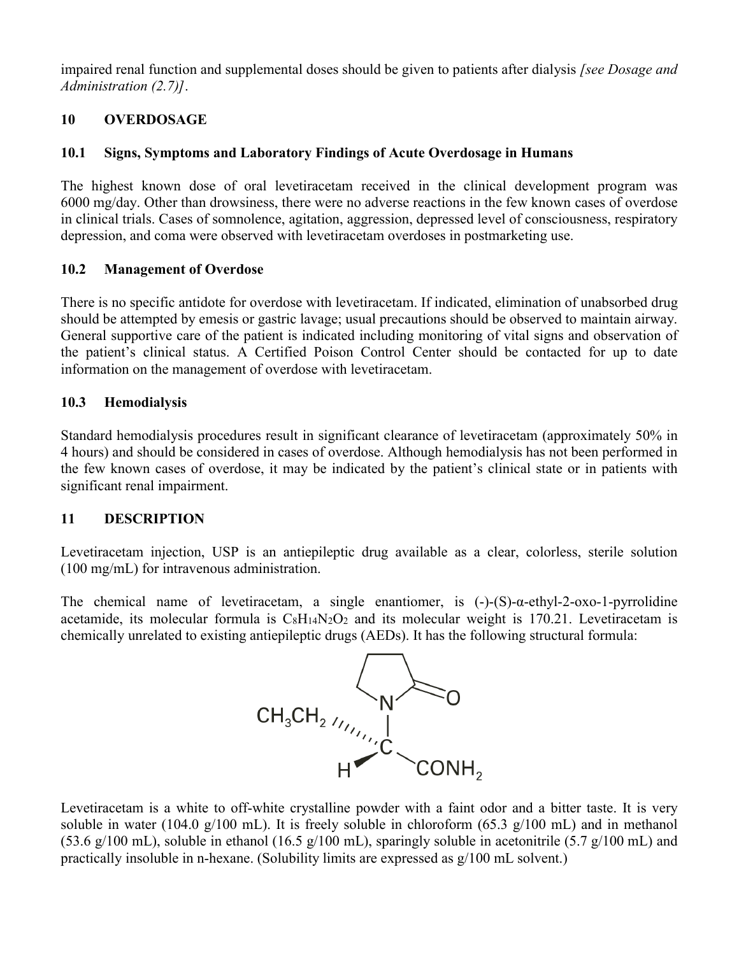impaired renal function and supplemental doses should be given to patients after dialysis *[see Dosage and Administration (2.7)]*.

## **10 OVERDOSAGE**

## **10.1 Signs, Symptoms and Laboratory Findings of Acute Overdosage in Humans**

The highest known dose of oral levetiracetam received in the clinical development program was 6000 mg/day. Other than drowsiness, there were no adverse reactions in the few known cases of overdose in clinical trials. Cases of somnolence, agitation, aggression, depressed level of consciousness, respiratory depression, and coma were observed with levetiracetam overdoses in postmarketing use.

## **10.2 Management of Overdose**

There is no specific antidote for overdose with levetiracetam. If indicated, elimination of unabsorbed drug should be attempted by emesis or gastric lavage; usual precautions should be observed to maintain airway. General supportive care of the patient is indicated including monitoring of vital signs and observation of the patient's clinical status. A Certified Poison Control Center should be contacted for up to date information on the management of overdose with levetiracetam.

## **10.3 Hemodialysis**

Standard hemodialysis procedures result in significant clearance of levetiracetam (approximately 50% in 4 hours) and should be considered in cases of overdose. Although hemodialysis has not been performed in the few known cases of overdose, it may be indicated by the patient's clinical state or in patients with significant renal impairment.

## **11 DESCRIPTION**

Levetiracetam injection, USP is an antiepileptic drug available as a clear, colorless, sterile solution (100 mg/mL) for intravenous administration.

The chemical name of levetiracetam, a single enantiomer, is  $(-)$ - $(S)$ - $\alpha$ -ethyl-2-oxo-1-pyrrolidine acetamide, its molecular formula is  $C_8H_1A_2O_2$  and its molecular weight is 170.21. Levetiracetam is chemically unrelated to existing antiepileptic drugs (AEDs). It has the following structural formula:



Levetiracetam is a white to off-white crystalline powder with a faint odor and a bitter taste. It is very soluble in water (104.0 g/100 mL). It is freely soluble in chloroform (65.3 g/100 mL) and in methanol (53.6 g/100 mL), soluble in ethanol (16.5 g/100 mL), sparingly soluble in acetonitrile (5.7 g/100 mL) and practically insoluble in n-hexane. (Solubility limits are expressed as g/100 mL solvent.)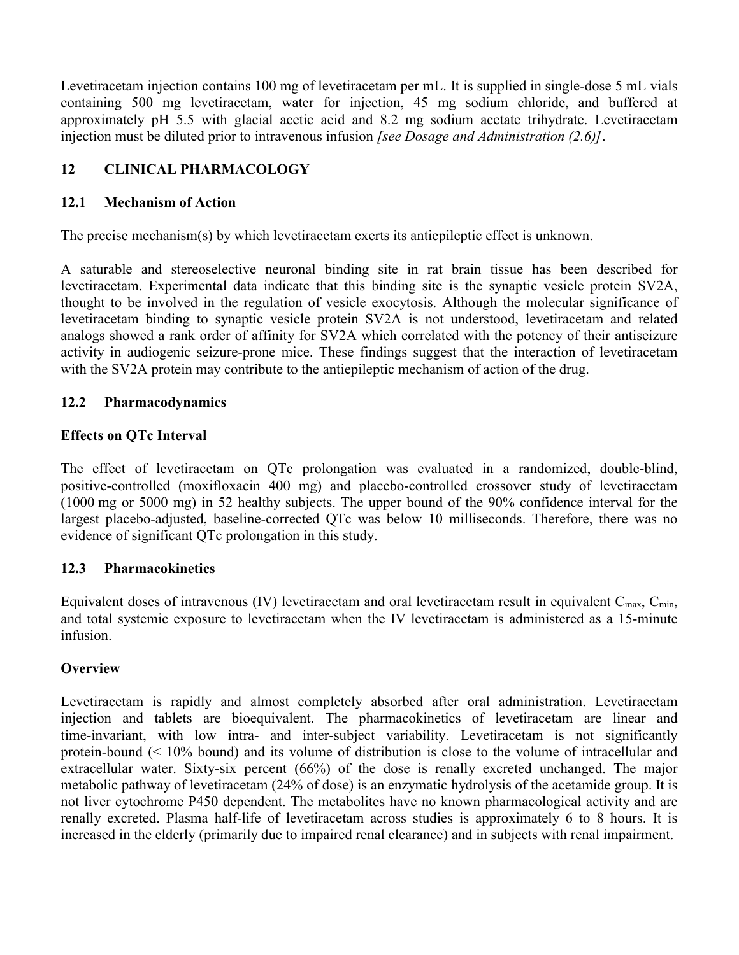Levetiracetam injection contains 100 mg of levetiracetam per mL. It is supplied in single-dose 5 mL vials containing 500 mg levetiracetam, water for injection, 45 mg sodium chloride, and buffered at approximately pH 5.5 with glacial acetic acid and 8.2 mg sodium acetate trihydrate. Levetiracetam injection must be diluted prior to intravenous infusion *[see Dosage and Administration (2.6)]*.

# **12 CLINICAL PHARMACOLOGY**

## **12.1 Mechanism of Action**

The precise mechanism(s) by which levetiracetam exerts its antiepileptic effect is unknown.

A saturable and stereoselective neuronal binding site in rat brain tissue has been described for levetiracetam. Experimental data indicate that this binding site is the synaptic vesicle protein SV2A, thought to be involved in the regulation of vesicle exocytosis. Although the molecular significance of levetiracetam binding to synaptic vesicle protein SV2A is not understood, levetiracetam and related analogs showed a rank order of affinity for SV2A which correlated with the potency of their antiseizure activity in audiogenic seizure-prone mice. These findings suggest that the interaction of levetiracetam with the SV2A protein may contribute to the antiepileptic mechanism of action of the drug.

## **12.2 Pharmacodynamics**

## **Effects on QTc Interval**

The effect of levetiracetam on QTc prolongation was evaluated in a randomized, double-blind, positive-controlled (moxifloxacin 400 mg) and placebo-controlled crossover study of levetiracetam (1000 mg or 5000 mg) in 52 healthy subjects. The upper bound of the 90% confidence interval for the largest placebo-adjusted, baseline-corrected QTc was below 10 milliseconds. Therefore, there was no evidence of significant QTc prolongation in this study.

# **12.3 Pharmacokinetics**

Equivalent doses of intravenous (IV) levetiracetam and oral levetiracetam result in equivalent  $C_{\text{max}}$ ,  $C_{\text{min}}$ , and total systemic exposure to levetiracetam when the IV levetiracetam is administered as a 15-minute infusion.

# **Overview**

Levetiracetam is rapidly and almost completely absorbed after oral administration. Levetiracetam injection and tablets are bioequivalent. The pharmacokinetics of levetiracetam are linear and time-invariant, with low intra- and inter-subject variability. Levetiracetam is not significantly protein-bound (< 10% bound) and its volume of distribution is close to the volume of intracellular and extracellular water. Sixty-six percent (66%) of the dose is renally excreted unchanged. The major metabolic pathway of levetiracetam (24% of dose) is an enzymatic hydrolysis of the acetamide group. It is not liver cytochrome P450 dependent. The metabolites have no known pharmacological activity and are renally excreted. Plasma half-life of levetiracetam across studies is approximately 6 to 8 hours. It is increased in the elderly (primarily due to impaired renal clearance) and in subjects with renal impairment.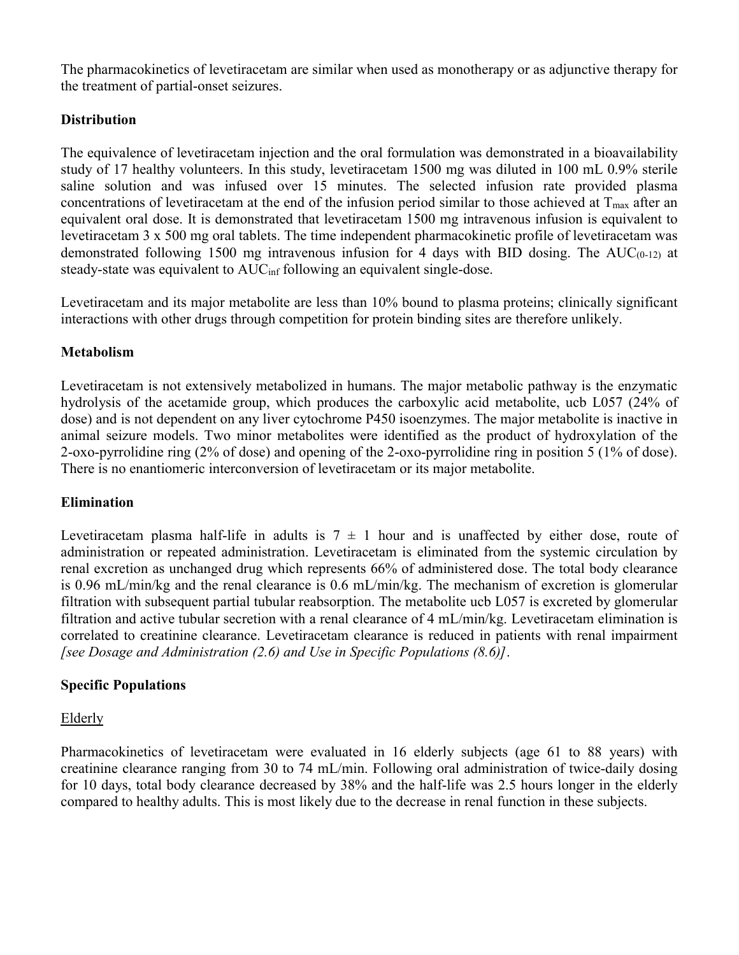The pharmacokinetics of levetiracetam are similar when used as monotherapy or as adjunctive therapy for the treatment of partial-onset seizures.

# **Distribution**

The equivalence of levetiracetam injection and the oral formulation was demonstrated in a bioavailability study of 17 healthy volunteers. In this study, levetiracetam 1500 mg was diluted in 100 mL 0.9% sterile saline solution and was infused over 15 minutes. The selected infusion rate provided plasma concentrations of levetiracetam at the end of the infusion period similar to those achieved at  $T_{\text{max}}$  after an equivalent oral dose. It is demonstrated that levetiracetam 1500 mg intravenous infusion is equivalent to levetiracetam 3 x 500 mg oral tablets. The time independent pharmacokinetic profile of levetiracetam was demonstrated following 1500 mg intravenous infusion for 4 days with BID dosing. The  $AUC_{(0-1,2)}$  at steady-state was equivalent to AUC<sub>inf</sub> following an equivalent single-dose.

Levetiracetam and its major metabolite are less than 10% bound to plasma proteins; clinically significant interactions with other drugs through competition for protein binding sites are therefore unlikely.

## **Metabolism**

Levetiracetam is not extensively metabolized in humans. The major metabolic pathway is the enzymatic hydrolysis of the acetamide group, which produces the carboxylic acid metabolite, ucb L057 (24% of dose) and is not dependent on any liver cytochrome P450 isoenzymes. The major metabolite is inactive in animal seizure models. Two minor metabolites were identified as the product of hydroxylation of the 2-oxo-pyrrolidine ring (2% of dose) and opening of the 2-oxo-pyrrolidine ring in position 5 (1% of dose). There is no enantiomeric interconversion of levetiracetam or its major metabolite.

## **Elimination**

Levetiracetam plasma half-life in adults is  $7 \pm 1$  hour and is unaffected by either dose, route of administration or repeated administration. Levetiracetam is eliminated from the systemic circulation by renal excretion as unchanged drug which represents 66% of administered dose. The total body clearance is 0.96 mL/min/kg and the renal clearance is 0.6 mL/min/kg. The mechanism of excretion is glomerular filtration with subsequent partial tubular reabsorption. The metabolite ucb L057 is excreted by glomerular filtration and active tubular secretion with a renal clearance of 4 mL/min/kg. Levetiracetam elimination is correlated to creatinine clearance. Levetiracetam clearance is reduced in patients with renal impairment *[see Dosage and Administration (2.6) and Use in Specific Populations (8.6)]*.

## **Specific Populations**

## Elderly

Pharmacokinetics of levetiracetam were evaluated in 16 elderly subjects (age 61 to 88 years) with creatinine clearance ranging from 30 to 74 mL/min. Following oral administration of twice-daily dosing for 10 days, total body clearance decreased by 38% and the half-life was 2.5 hours longer in the elderly compared to healthy adults. This is most likely due to the decrease in renal function in these subjects.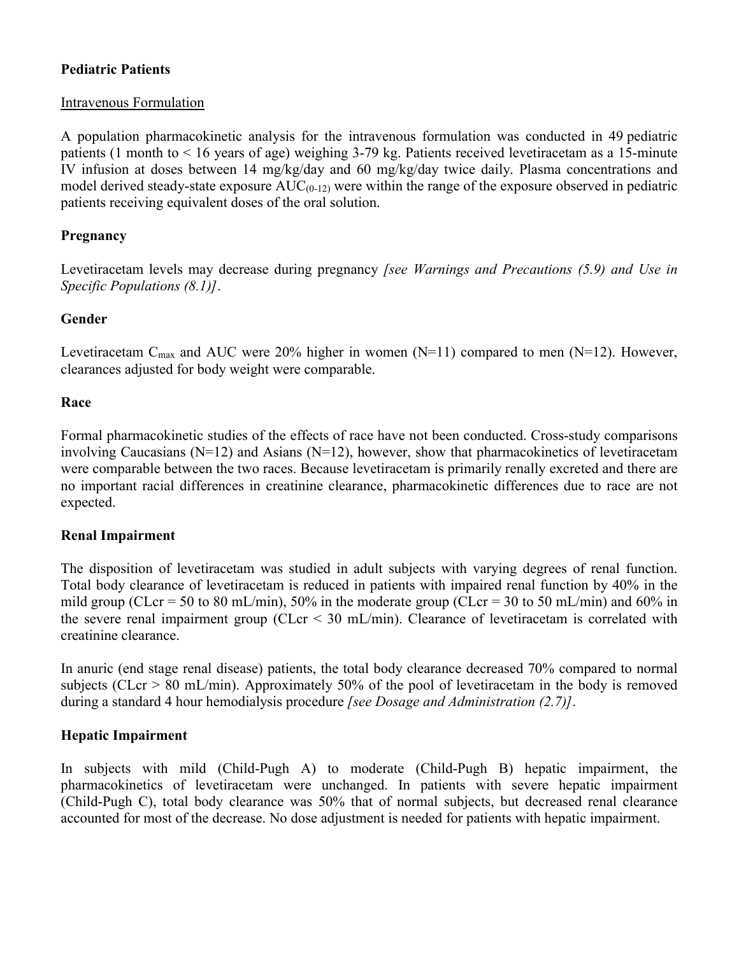## **Pediatric Patients**

## Intravenous Formulation

A population pharmacokinetic analysis for the intravenous formulation was conducted in 49 pediatric patients (1 month to < 16 years of age) weighing 3-79 kg. Patients received levetiracetam as a 15-minute IV infusion at doses between 14 mg/kg/day and 60 mg/kg/day twice daily. Plasma concentrations and model derived steady-state exposure  $AUC_{(0-12)}$  were within the range of the exposure observed in pediatric patients receiving equivalent doses of the oral solution.

## **Pregnancy**

Levetiracetam levels may decrease during pregnancy *[see Warnings and Precautions (5.9) and Use in Specific Populations (8.1)]*.

## **Gender**

Levetiracetam C<sub>max</sub> and AUC were 20% higher in women (N=11) compared to men (N=12). However, clearances adjusted for body weight were comparable.

## **Race**

Formal pharmacokinetic studies of the effects of race have not been conducted. Cross-study comparisons involving Caucasians  $(N=12)$  and Asians  $(N=12)$ , however, show that pharmacokinetics of levetiracetam were comparable between the two races. Because levetiracetam is primarily renally excreted and there are no important racial differences in creatinine clearance, pharmacokinetic differences due to race are not expected.

## **Renal Impairment**

The disposition of levetiracetam was studied in adult subjects with varying degrees of renal function. Total body clearance of levetiracetam is reduced in patients with impaired renal function by 40% in the mild group (CLcr = 50 to 80 mL/min), 50% in the moderate group (CLcr = 30 to 50 mL/min) and 60% in the severe renal impairment group (CLcr < 30 mL/min). Clearance of levetiracetam is correlated with creatinine clearance.

In anuric (end stage renal disease) patients, the total body clearance decreased 70% compared to normal subjects (CLcr > 80 mL/min). Approximately 50% of the pool of levetiracetam in the body is removed during a standard 4 hour hemodialysis procedure *[see Dosage and Administration (2.7)]*.

# **Hepatic Impairment**

In subjects with mild (Child-Pugh A) to moderate (Child-Pugh B) hepatic impairment, the pharmacokinetics of levetiracetam were unchanged. In patients with severe hepatic impairment (Child-Pugh C), total body clearance was 50% that of normal subjects, but decreased renal clearance accounted for most of the decrease. No dose adjustment is needed for patients with hepatic impairment.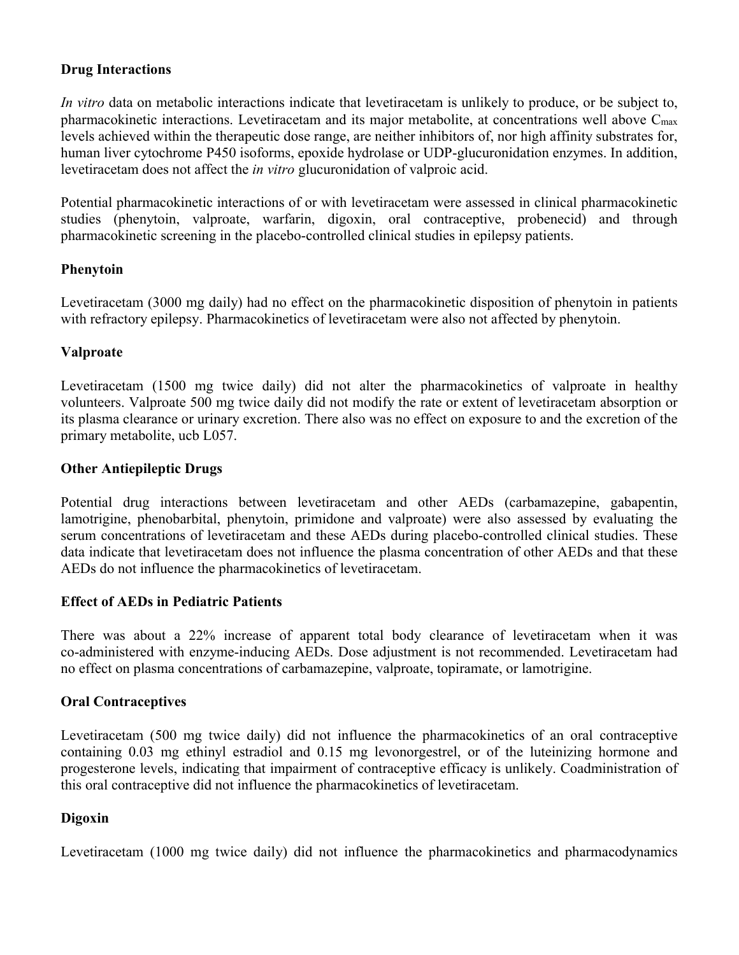## **Drug Interactions**

*In vitro* data on metabolic interactions indicate that levetiracetam is unlikely to produce, or be subject to, pharmacokinetic interactions. Levetiracetam and its major metabolite, at concentrations well above C<sub>max</sub> levels achieved within the therapeutic dose range, are neither inhibitors of, nor high affinity substrates for, human liver cytochrome P450 isoforms, epoxide hydrolase or UDP-glucuronidation enzymes. In addition, levetiracetam does not affect the *in vitro* glucuronidation of valproic acid.

Potential pharmacokinetic interactions of or with levetiracetam were assessed in clinical pharmacokinetic studies (phenytoin, valproate, warfarin, digoxin, oral contraceptive, probenecid) and through pharmacokinetic screening in the placebo-controlled clinical studies in epilepsy patients.

#### **Phenytoin**

Levetiracetam (3000 mg daily) had no effect on the pharmacokinetic disposition of phenytoin in patients with refractory epilepsy. Pharmacokinetics of levetiracetam were also not affected by phenytoin.

## **Valproate**

Levetiracetam (1500 mg twice daily) did not alter the pharmacokinetics of valproate in healthy volunteers. Valproate 500 mg twice daily did not modify the rate or extent of levetiracetam absorption or its plasma clearance or urinary excretion. There also was no effect on exposure to and the excretion of the primary metabolite, ucb L057.

#### **Other Antiepileptic Drugs**

Potential drug interactions between levetiracetam and other AEDs (carbamazepine, gabapentin, lamotrigine, phenobarbital, phenytoin, primidone and valproate) were also assessed by evaluating the serum concentrations of levetiracetam and these AEDs during placebo-controlled clinical studies. These data indicate that levetiracetam does not influence the plasma concentration of other AEDs and that these AEDs do not influence the pharmacokinetics of levetiracetam.

#### **Effect of AEDs in Pediatric Patients**

There was about a 22% increase of apparent total body clearance of levetiracetam when it was co-administered with enzyme-inducing AEDs. Dose adjustment is not recommended. Levetiracetam had no effect on plasma concentrations of carbamazepine, valproate, topiramate, or lamotrigine.

#### **Oral Contraceptives**

Levetiracetam (500 mg twice daily) did not influence the pharmacokinetics of an oral contraceptive containing 0.03 mg ethinyl estradiol and 0.15 mg levonorgestrel, or of the luteinizing hormone and progesterone levels, indicating that impairment of contraceptive efficacy is unlikely. Coadministration of this oral contraceptive did not influence the pharmacokinetics of levetiracetam.

## **Digoxin**

Levetiracetam (1000 mg twice daily) did not influence the pharmacokinetics and pharmacodynamics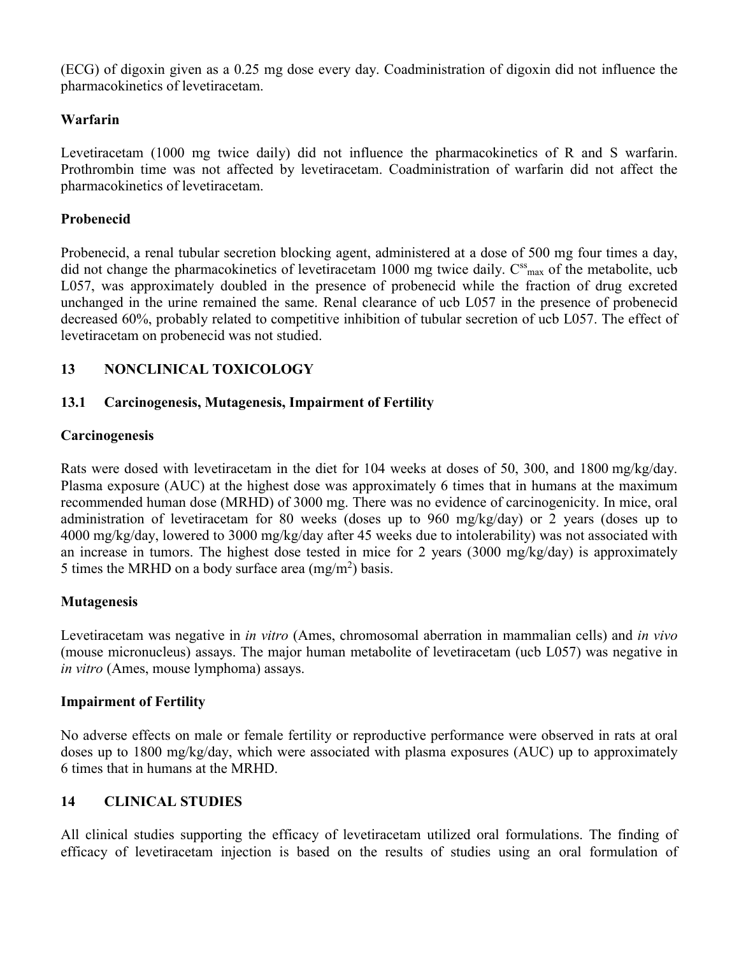(ECG) of digoxin given as a 0.25 mg dose every day. Coadministration of digoxin did not influence the pharmacokinetics of levetiracetam.

## **Warfarin**

Levetiracetam (1000 mg twice daily) did not influence the pharmacokinetics of R and S warfarin. Prothrombin time was not affected by levetiracetam. Coadministration of warfarin did not affect the pharmacokinetics of levetiracetam.

## **Probenecid**

Probenecid, a renal tubular secretion blocking agent, administered at a dose of 500 mg four times a day, did not change the pharmacokinetics of levetiracetam 1000 mg twice daily. C<sup>ss</sup><sub>max</sub> of the metabolite, ucb L057, was approximately doubled in the presence of probenecid while the fraction of drug excreted unchanged in the urine remained the same. Renal clearance of ucb L057 in the presence of probenecid decreased 60%, probably related to competitive inhibition of tubular secretion of ucb L057. The effect of levetiracetam on probenecid was not studied.

# **13 NONCLINICAL TOXICOLOGY**

## **13.1 Carcinogenesis, Mutagenesis, Impairment of Fertility**

## **Carcinogenesis**

Rats were dosed with levetiracetam in the diet for 104 weeks at doses of 50, 300, and 1800 mg/kg/day. Plasma exposure (AUC) at the highest dose was approximately 6 times that in humans at the maximum recommended human dose (MRHD) of 3000 mg. There was no evidence of carcinogenicity. In mice, oral administration of levetiracetam for 80 weeks (doses up to 960 mg/kg/day) or 2 years (doses up to 4000 mg/kg/day, lowered to 3000 mg/kg/day after 45 weeks due to intolerability) was not associated with an increase in tumors. The highest dose tested in mice for 2 years (3000 mg/kg/day) is approximately 5 times the MRHD on a body surface area  $(mg/m<sup>2</sup>)$  basis.

## **Mutagenesis**

Levetiracetam was negative in *in vitro* (Ames, chromosomal aberration in mammalian cells) and *in vivo*  (mouse micronucleus) assays. The major human metabolite of levetiracetam (ucb L057) was negative in *in vitro* (Ames, mouse lymphoma) assays.

# **Impairment of Fertility**

No adverse effects on male or female fertility or reproductive performance were observed in rats at oral doses up to 1800 mg/kg/day, which were associated with plasma exposures (AUC) up to approximately 6 times that in humans at the MRHD.

# **14 CLINICAL STUDIES**

All clinical studies supporting the efficacy of levetiracetam utilized oral formulations. The finding of efficacy of levetiracetam injection is based on the results of studies using an oral formulation of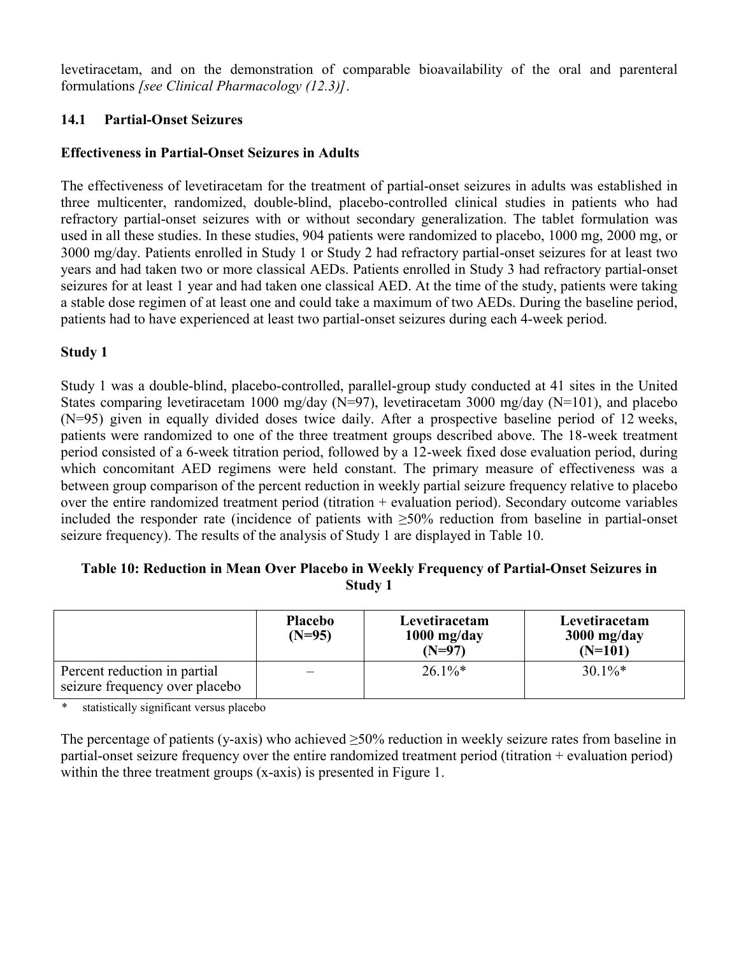levetiracetam, and on the demonstration of comparable bioavailability of the oral and parenteral formulations *[see Clinical Pharmacology (12.3)]*.

## **14.1 Partial-Onset Seizures**

## **Effectiveness in Partial-Onset Seizures in Adults**

The effectiveness of levetiracetam for the treatment of partial-onset seizures in adults was established in three multicenter, randomized, double-blind, placebo-controlled clinical studies in patients who had refractory partial-onset seizures with or without secondary generalization. The tablet formulation was used in all these studies. In these studies, 904 patients were randomized to placebo, 1000 mg, 2000 mg, or 3000 mg/day. Patients enrolled in Study 1 or Study 2 had refractory partial-onset seizures for at least two years and had taken two or more classical AEDs. Patients enrolled in Study 3 had refractory partial-onset seizures for at least 1 year and had taken one classical AED. At the time of the study, patients were taking a stable dose regimen of at least one and could take a maximum of two AEDs. During the baseline period, patients had to have experienced at least two partial-onset seizures during each 4-week period.

## **Study 1**

Study 1 was a double-blind, placebo-controlled, parallel-group study conducted at 41 sites in the United States comparing levetiracetam 1000 mg/day (N=97), levetiracetam 3000 mg/day (N=101), and placebo (N=95) given in equally divided doses twice daily. After a prospective baseline period of 12 weeks, patients were randomized to one of the three treatment groups described above. The 18-week treatment period consisted of a 6-week titration period, followed by a 12-week fixed dose evaluation period, during which concomitant AED regimens were held constant. The primary measure of effectiveness was a between group comparison of the percent reduction in weekly partial seizure frequency relative to placebo over the entire randomized treatment period (titration  $+$  evaluation period). Secondary outcome variables included the responder rate (incidence of patients with ≥50% reduction from baseline in partial-onset seizure frequency). The results of the analysis of Study 1 are displayed in Table 10.

## **Table 10: Reduction in Mean Over Placebo in Weekly Frequency of Partial-Onset Seizures in Study 1**

|                                                                | <b>Placebo</b><br>$(N=95)$ | Levetiracetam<br>$1000$ mg/day<br>$(N=97)$ | Levetiracetam<br>$3000$ mg/day<br>$(N=101)$ |
|----------------------------------------------------------------|----------------------------|--------------------------------------------|---------------------------------------------|
| Percent reduction in partial<br>seizure frequency over placebo | —                          | $26.1\%$ <sup>*</sup>                      | $30.1\%$ *                                  |

*\** statistically significant versus placebo

The percentage of patients (y-axis) who achieved  $\geq$ 50% reduction in weekly seizure rates from baseline in partial-onset seizure frequency over the entire randomized treatment period (titration + evaluation period) within the three treatment groups (x-axis) is presented in Figure 1.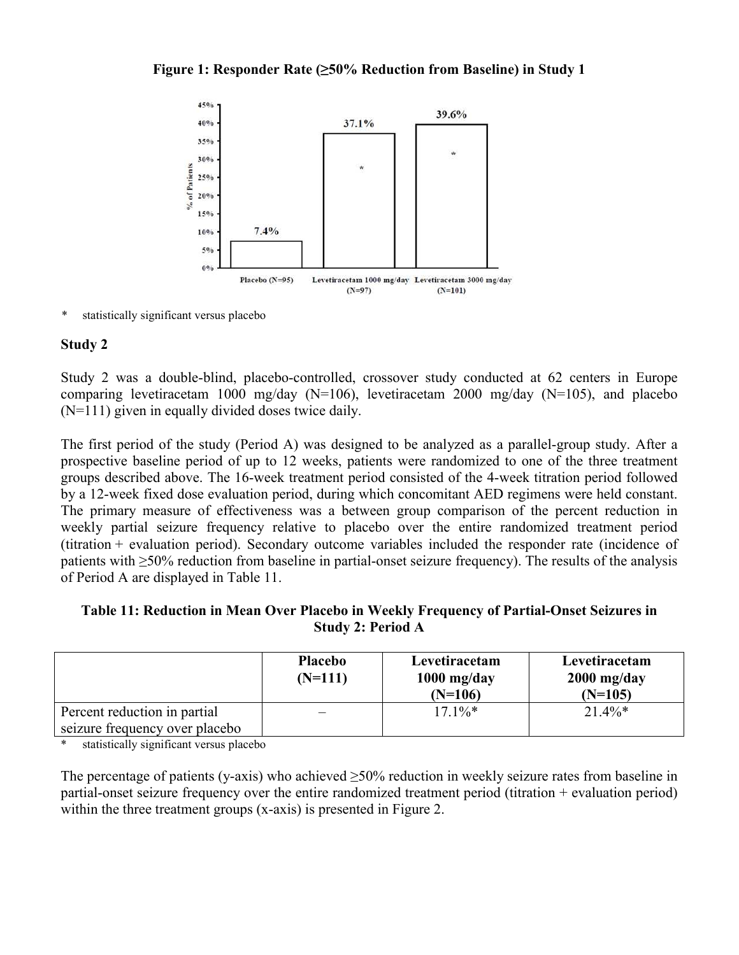### **Figure 1: Responder Rate (≥50% Reduction from Baseline) in Study 1**



*\** statistically significant versus placebo

## **Study 2**

Study 2 was a double-blind, placebo-controlled, crossover study conducted at 62 centers in Europe comparing levetiracetam 1000 mg/day (N=106), levetiracetam 2000 mg/day (N=105), and placebo (N=111) given in equally divided doses twice daily.

The first period of the study (Period A) was designed to be analyzed as a parallel-group study. After a prospective baseline period of up to 12 weeks, patients were randomized to one of the three treatment groups described above. The 16-week treatment period consisted of the 4-week titration period followed by a 12-week fixed dose evaluation period, during which concomitant AED regimens were held constant. The primary measure of effectiveness was a between group comparison of the percent reduction in weekly partial seizure frequency relative to placebo over the entire randomized treatment period (titration + evaluation period). Secondary outcome variables included the responder rate (incidence of patients with ≥50% reduction from baseline in partial-onset seizure frequency). The results of the analysis of Period A are displayed in Table 11.

## **Table 11: Reduction in Mean Over Placebo in Weekly Frequency of Partial-Onset Seizures in Study 2: Period A**

|                                | <b>Placebo</b><br>$(N=111)$ | Levetiracetam<br>$1000$ mg/day<br>$(N=106)$ | Levetiracetam<br>$2000$ mg/day<br>$(N=105)$ |
|--------------------------------|-----------------------------|---------------------------------------------|---------------------------------------------|
| Percent reduction in partial   |                             | $17.1\%*$                                   | $21.4\%*$                                   |
| seizure frequency over placebo |                             |                                             |                                             |

statistically significant versus placebo

The percentage of patients (y-axis) who achieved  $\geq$ 50% reduction in weekly seizure rates from baseline in partial-onset seizure frequency over the entire randomized treatment period (titration + evaluation period) within the three treatment groups (x-axis) is presented in Figure 2.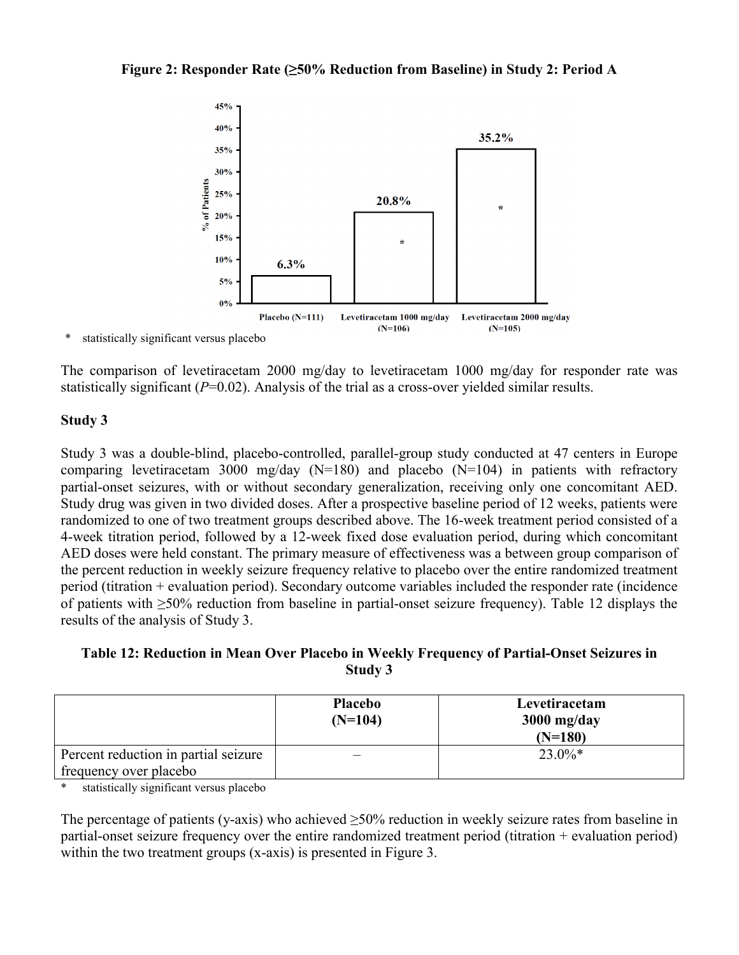

statistically significant versus placebo

The comparison of levetiracetam 2000 mg/day to levetiracetam 1000 mg/day for responder rate was statistically significant  $(P=0.02)$ . Analysis of the trial as a cross-over yielded similar results.

## **Study 3**

Study 3 was a double-blind, placebo-controlled, parallel-group study conducted at 47 centers in Europe comparing levetiracetam 3000 mg/day (N=180) and placebo (N=104) in patients with refractory partial-onset seizures, with or without secondary generalization, receiving only one concomitant AED. Study drug was given in two divided doses. After a prospective baseline period of 12 weeks, patients were randomized to one of two treatment groups described above. The 16-week treatment period consisted of a 4-week titration period, followed by a 12-week fixed dose evaluation period, during which concomitant AED doses were held constant. The primary measure of effectiveness was a between group comparison of the percent reduction in weekly seizure frequency relative to placebo over the entire randomized treatment period (titration + evaluation period). Secondary outcome variables included the responder rate (incidence of patients with ≥50% reduction from baseline in partial-onset seizure frequency). Table 12 displays the results of the analysis of Study 3.

## **Table 12: Reduction in Mean Over Placebo in Weekly Frequency of Partial-Onset Seizures in Study 3**

|                                      | <b>Placebo</b><br>$(N=104)$ | Levetiracetam<br>$3000$ mg/day<br>$(N=180)$ |
|--------------------------------------|-----------------------------|---------------------------------------------|
| Percent reduction in partial seizure |                             | $23.0\%*$                                   |
| frequency over placebo               |                             |                                             |

\* statistically significant versus placebo

The percentage of patients (y-axis) who achieved  $\geq$ 50% reduction in weekly seizure rates from baseline in partial-onset seizure frequency over the entire randomized treatment period (titration + evaluation period) within the two treatment groups (x-axis) is presented in Figure 3.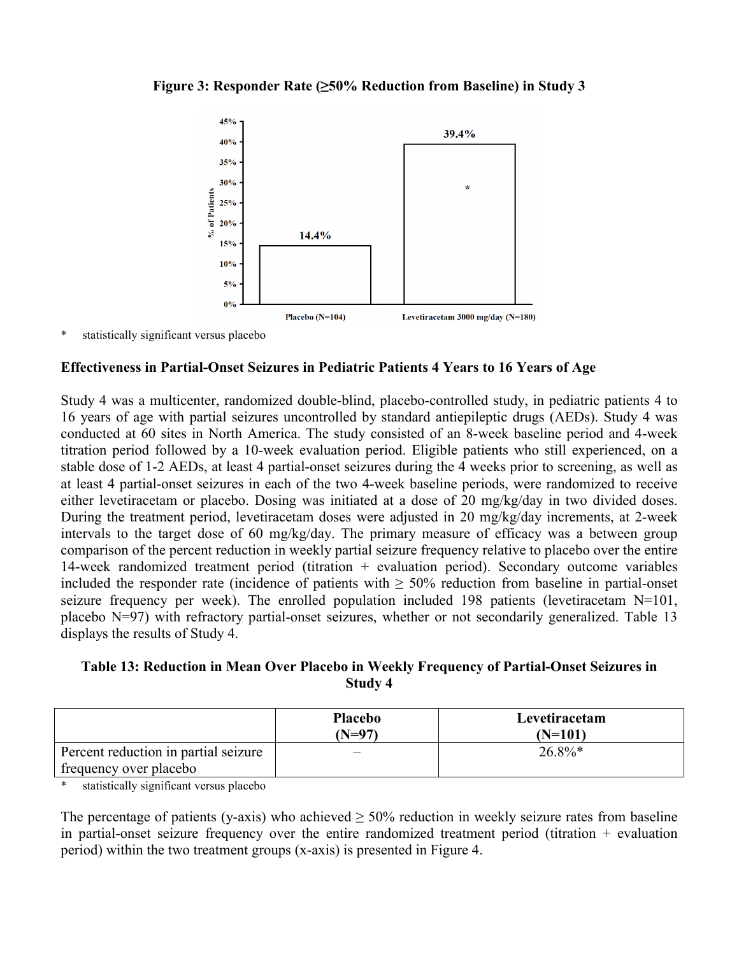### **Figure 3: Responder Rate (≥50% Reduction from Baseline) in Study 3**



statistically significant versus placebo

#### **Effectiveness in Partial-Onset Seizures in Pediatric Patients 4 Years to 16 Years of Age**

Study 4 was a multicenter, randomized double-blind, placebo-controlled study, in pediatric patients 4 to 16 years of age with partial seizures uncontrolled by standard antiepileptic drugs (AEDs). Study 4 was conducted at 60 sites in North America. The study consisted of an 8-week baseline period and 4-week titration period followed by a 10-week evaluation period. Eligible patients who still experienced, on a stable dose of 1-2 AEDs, at least 4 partial-onset seizures during the 4 weeks prior to screening, as well as at least 4 partial-onset seizures in each of the two 4-week baseline periods, were randomized to receive either levetiracetam or placebo. Dosing was initiated at a dose of 20 mg/kg/day in two divided doses. During the treatment period, levetiracetam doses were adjusted in 20 mg/kg/day increments, at 2-week intervals to the target dose of 60 mg/kg/day. The primary measure of efficacy was a between group comparison of the percent reduction in weekly partial seizure frequency relative to placebo over the entire 14-week randomized treatment period (titration + evaluation period). Secondary outcome variables included the responder rate (incidence of patients with  $\geq$  50% reduction from baseline in partial-onset seizure frequency per week). The enrolled population included 198 patients (levetiracetam  $N=101$ , placebo N=97) with refractory partial-onset seizures, whether or not secondarily generalized. Table 13 displays the results of Study 4.

## **Table 13: Reduction in Mean Over Placebo in Weekly Frequency of Partial-Onset Seizures in Study 4**

|                                      | <b>Placebo</b><br>(N=97) | Levetiracetam<br>(N=101) |
|--------------------------------------|--------------------------|--------------------------|
| Percent reduction in partial seizure |                          | $26.8\%*$                |
| frequency over placebo               |                          |                          |

statistically significant versus placebo

The percentage of patients (y-axis) who achieved  $\geq$  50% reduction in weekly seizure rates from baseline in partial-onset seizure frequency over the entire randomized treatment period (titration + evaluation period) within the two treatment groups (x-axis) is presented in Figure 4.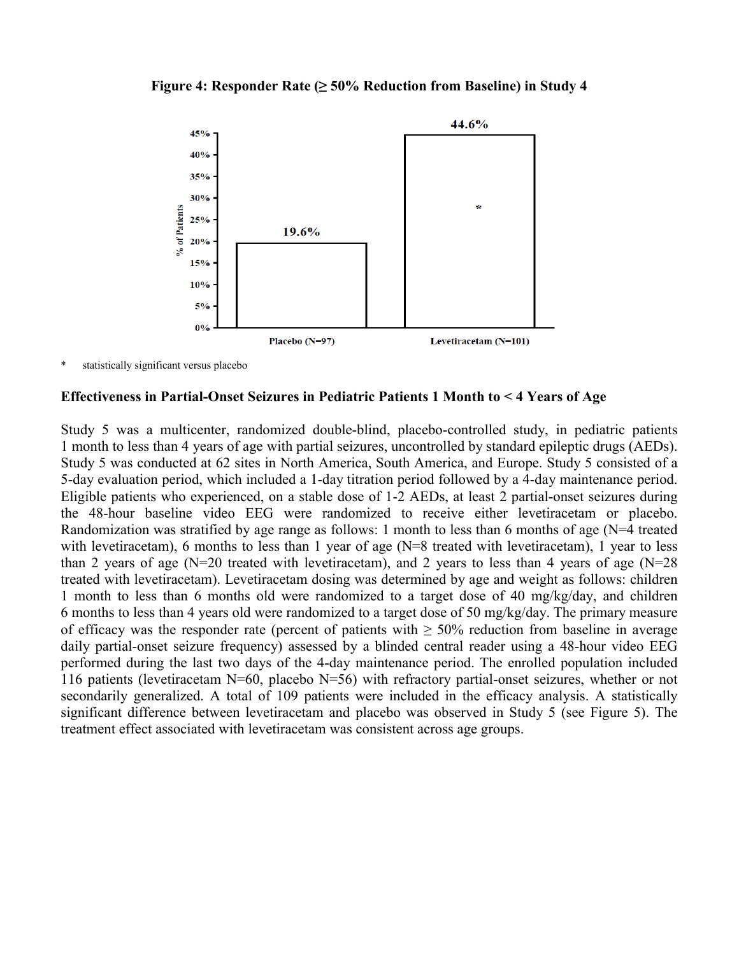#### **Figure 4: Responder Rate (≥ 50% Reduction from Baseline) in Study 4**



statistically significant versus placebo

#### **Effectiveness in Partial-Onset Seizures in Pediatric Patients 1 Month to < 4 Years of Age**

Study 5 was a multicenter, randomized double-blind, placebo-controlled study, in pediatric patients 1 month to less than 4 years of age with partial seizures, uncontrolled by standard epileptic drugs (AEDs). Study 5 was conducted at 62 sites in North America, South America, and Europe. Study 5 consisted of a 5-day evaluation period, which included a 1-day titration period followed by a 4-day maintenance period. Eligible patients who experienced, on a stable dose of 1-2 AEDs, at least 2 partial-onset seizures during the 48-hour baseline video EEG were randomized to receive either levetiracetam or placebo. Randomization was stratified by age range as follows: 1 month to less than 6 months of age (N=4 treated with levetiracetam), 6 months to less than 1 year of age (N=8 treated with levetiracetam), 1 year to less than 2 years of age (N=20 treated with levetiracetam), and 2 years to less than 4 years of age (N=28 treated with levetiracetam). Levetiracetam dosing was determined by age and weight as follows: children 1 month to less than 6 months old were randomized to a target dose of 40 mg/kg/day, and children 6 months to less than 4 years old were randomized to a target dose of 50 mg/kg/day. The primary measure of efficacy was the responder rate (percent of patients with  $\geq$  50% reduction from baseline in average daily partial-onset seizure frequency) assessed by a blinded central reader using a 48-hour video EEG performed during the last two days of the 4-day maintenance period. The enrolled population included 116 patients (levetiracetam N=60, placebo N=56) with refractory partial-onset seizures, whether or not secondarily generalized. A total of 109 patients were included in the efficacy analysis. A statistically significant difference between levetiracetam and placebo was observed in Study 5 (see Figure 5). The treatment effect associated with levetiracetam was consistent across age groups.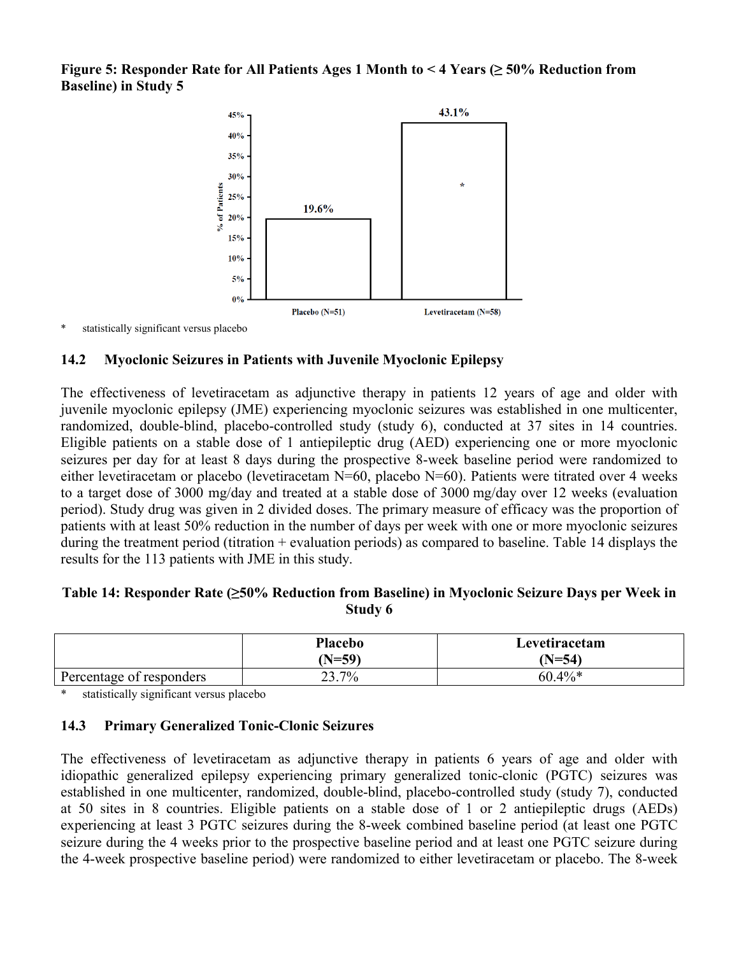**Figure 5: Responder Rate for All Patients Ages 1 Month to < 4 Years (≥ 50% Reduction from Baseline) in Study 5**



statistically significant versus placebo

## **14.2 Myoclonic Seizures in Patients with Juvenile Myoclonic Epilepsy**

The effectiveness of levetiracetam as adjunctive therapy in patients 12 years of age and older with juvenile myoclonic epilepsy (JME) experiencing myoclonic seizures was established in one multicenter, randomized, double-blind, placebo-controlled study (study 6), conducted at 37 sites in 14 countries. Eligible patients on a stable dose of 1 antiepileptic drug (AED) experiencing one or more myoclonic seizures per day for at least 8 days during the prospective 8-week baseline period were randomized to either levetiracetam or placebo (levetiracetam N=60, placebo N=60). Patients were titrated over 4 weeks to a target dose of 3000 mg/day and treated at a stable dose of 3000 mg/day over 12 weeks (evaluation period). Study drug was given in 2 divided doses. The primary measure of efficacy was the proportion of patients with at least 50% reduction in the number of days per week with one or more myoclonic seizures during the treatment period (titration + evaluation periods) as compared to baseline. Table 14 displays the results for the 113 patients with JME in this study.

## **Table 14: Responder Rate (≥50% Reduction from Baseline) in Myoclonic Seizure Days per Week in Study 6**

|                          | <b>Placebo</b><br>$(N=59)$ | Levetiracetam<br>$(N=54)$ |
|--------------------------|----------------------------|---------------------------|
| Percentage of responders | 23.7%                      | $60.4\%*$                 |

statistically significant versus placebo

## **14.3 Primary Generalized Tonic-Clonic Seizures**

The effectiveness of levetiracetam as adjunctive therapy in patients 6 years of age and older with idiopathic generalized epilepsy experiencing primary generalized tonic-clonic (PGTC) seizures was established in one multicenter, randomized, double-blind, placebo-controlled study (study 7), conducted at 50 sites in 8 countries. Eligible patients on a stable dose of 1 or 2 antiepileptic drugs (AEDs) experiencing at least 3 PGTC seizures during the 8-week combined baseline period (at least one PGTC seizure during the 4 weeks prior to the prospective baseline period and at least one PGTC seizure during the 4-week prospective baseline period) were randomized to either levetiracetam or placebo. The 8-week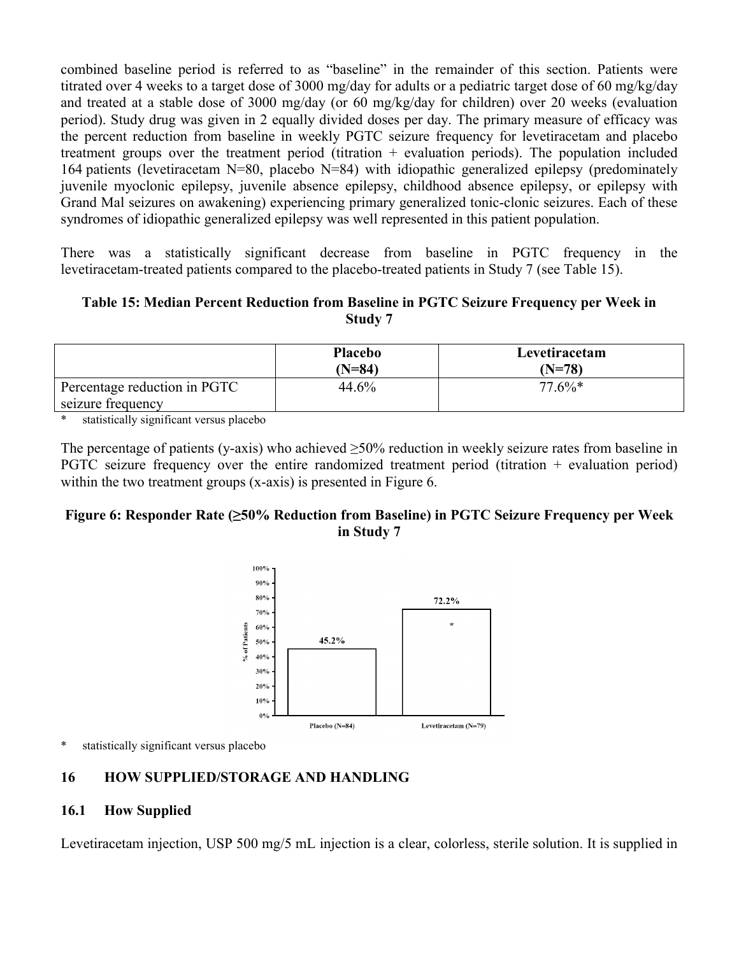combined baseline period is referred to as "baseline" in the remainder of this section. Patients were titrated over 4 weeks to a target dose of 3000 mg/day for adults or a pediatric target dose of 60 mg/kg/day and treated at a stable dose of 3000 mg/day (or 60 mg/kg/day for children) over 20 weeks (evaluation period). Study drug was given in 2 equally divided doses per day. The primary measure of efficacy was the percent reduction from baseline in weekly PGTC seizure frequency for levetiracetam and placebo treatment groups over the treatment period (titration  $+$  evaluation periods). The population included 164 patients (levetiracetam N=80, placebo N=84) with idiopathic generalized epilepsy (predominately juvenile myoclonic epilepsy, juvenile absence epilepsy, childhood absence epilepsy, or epilepsy with Grand Mal seizures on awakening) experiencing primary generalized tonic-clonic seizures. Each of these syndromes of idiopathic generalized epilepsy was well represented in this patient population.

There was a statistically significant decrease from baseline in PGTC frequency in the levetiracetam-treated patients compared to the placebo-treated patients in Study 7 (see Table 15).

**Table 15: Median Percent Reduction from Baseline in PGTC Seizure Frequency per Week in Study 7**

|                              | Placebo<br>$(N=84)$ | Levetiracetam<br>(N=78) |
|------------------------------|---------------------|-------------------------|
| Percentage reduction in PGTC | 44.6%               | $77.6\%*$               |
| seizure frequency            |                     |                         |

statistically significant versus placebo

The percentage of patients (y-axis) who achieved  $\geq$ 50% reduction in weekly seizure rates from baseline in PGTC seizure frequency over the entire randomized treatment period (titration + evaluation period) within the two treatment groups (x-axis) is presented in Figure 6.

## **Figure 6: Responder Rate (≥50% Reduction from Baseline) in PGTC Seizure Frequency per Week in Study 7**



\* statistically significant versus placebo

## **16 HOW SUPPLIED/STORAGE AND HANDLING**

#### **16.1 How Supplied**

Levetiracetam injection, USP 500 mg/5 mL injection is a clear, colorless, sterile solution. It is supplied in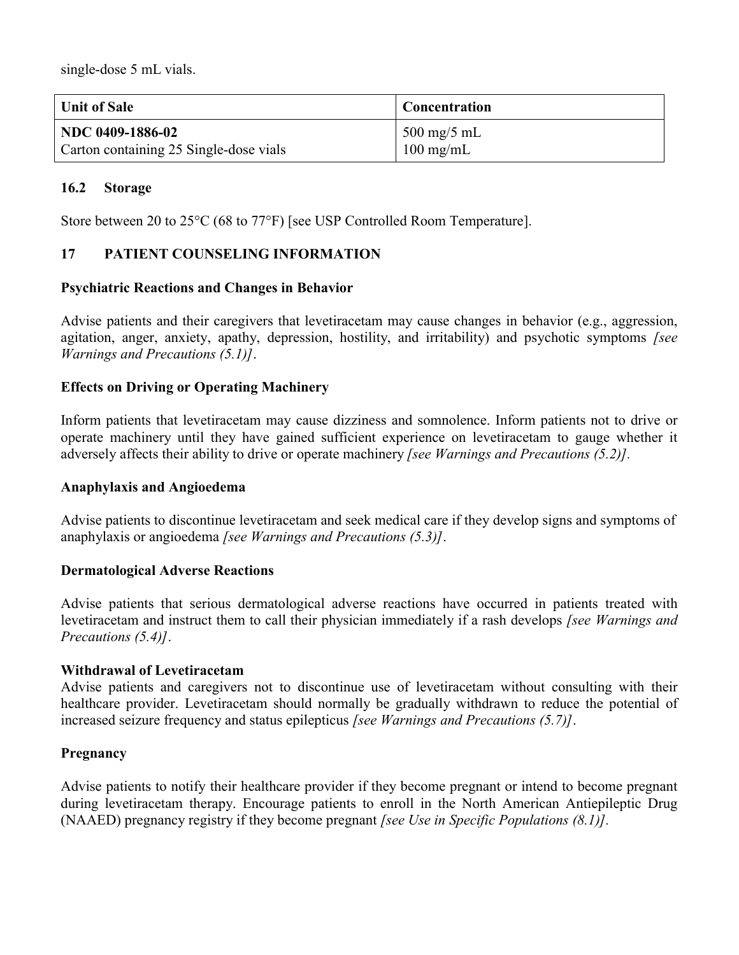single-dose 5 mL vials.

| <b>Unit of Sale</b>                    | Concentration                         |
|----------------------------------------|---------------------------------------|
| NDC 0409-1886-02                       | $\frac{500 \text{ mg}}{5 \text{ mL}}$ |
| Carton containing 25 Single-dose vials | $100 \text{ mg/mL}$                   |

## **16.2 Storage**

Store between 20 to 25°C (68 to 77°F) [see USP Controlled Room Temperature].

## **17 PATIENT COUNSELING INFORMATION**

## **Psychiatric Reactions and Changes in Behavior**

Advise patients and their caregivers that levetiracetam may cause changes in behavior (e.g., aggression, agitation, anger, anxiety, apathy, depression, hostility, and irritability) and psychotic symptoms *[see Warnings and Precautions (5.1)]*.

## **Effects on Driving or Operating Machinery**

Inform patients that levetiracetam may cause dizziness and somnolence. Inform patients not to drive or operate machinery until they have gained sufficient experience on levetiracetam to gauge whether it adversely affects their ability to drive or operate machinery *[see Warnings and Precautions (5.2)].*

#### **Anaphylaxis and Angioedema**

Advise patients to discontinue levetiracetam and seek medical care if they develop signs and symptoms of anaphylaxis or angioedema *[see Warnings and Precautions (5.3)]*.

## **Dermatological Adverse Reactions**

Advise patients that serious dermatological adverse reactions have occurred in patients treated with levetiracetam and instruct them to call their physician immediately if a rash develops *[see Warnings and Precautions (5.4)]*.

## **Withdrawal of Levetiracetam**

Advise patients and caregivers not to discontinue use of levetiracetam without consulting with their healthcare provider. Levetiracetam should normally be gradually withdrawn to reduce the potential of increased seizure frequency and status epilepticus *[see Warnings and Precautions (5.7)]*.

## **Pregnancy**

Advise patients to notify their healthcare provider if they become pregnant or intend to become pregnant during levetiracetam therapy. Encourage patients to enroll in the North American Antiepileptic Drug (NAAED) pregnancy registry if they become pregnant *[see Use in Specific Populations (8.1)].*